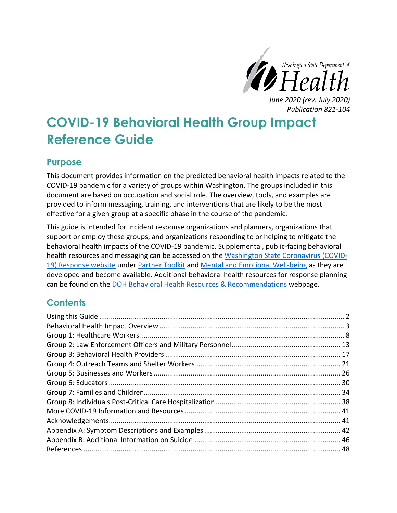

*Publication 821-104*

# **COVID-19 Behavioral Health Group Impact Reference Guide**

## **Purpose**

This document provides information on the predicted behavioral health impacts related to the COVID-19 pandemic for a variety of groups within Washington. The groups included in this document are based on occupation and social role. The overview, tools, and examples are provided to inform messaging, training, and interventions that are likely to be the most effective for a given group at a specific phase in the course of the pandemic.

This guide is intended for incident response organizations and planners, organizations that support or employ these groups, and organizations responding to or helping to mitigate the behavioral health impacts of the COVID-19 pandemic. Supplemental, public-facing behavioral health resources and messaging can be accessed on the [Washington State Coronavirus \(COVID-](https://coronavirus.wa.gov/)[19\) Response website](https://coronavirus.wa.gov/) under [Partner Toolkit](https://coronavirus.wa.gov/partner-toolkit) and [Mental and Emotional Well-being](https://coronavirus.wa.gov/information-for/you-and-your-family/mental-and-emotional-well-being) as they are developed and become available. Additional behavioral health resources for response planning can be found on the [DOH Behavioral Health Resources & Recommendations](https://www.doh.wa.gov/Emergencies/NovelCoronavirusOutbreak2020COVID19/HealthcareProviders/BehavioralHealthResources) webpage.

## **Contents**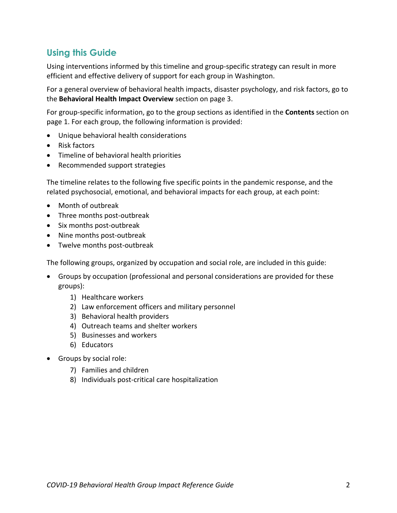## <span id="page-1-0"></span>**Using this Guide**

Using interventions informed by this timeline and group-specific strategy can result in more efficient and effective delivery of support for each group in Washington.

For a general overview of behavioral health impacts, disaster psychology, and risk factors, go to the **Behavioral Health Impact Overview** section on page 3.

For group-specific information, go to the group sections as identified in the **Contents** section on page 1. For each group, the following information is provided:

- Unique behavioral health considerations
- Risk factors
- Timeline of behavioral health priorities
- Recommended support strategies

The timeline relates to the following five specific points in the pandemic response, and the related psychosocial, emotional, and behavioral impacts for each group, at each point:

- Month of outbreak
- Three months post-outbreak
- Six months post-outbreak
- Nine months post-outbreak
- Twelve months post-outbreak

The following groups, organized by occupation and social role, are included in this guide:

- Groups by occupation (professional and personal considerations are provided for these groups):
	- 1) Healthcare workers
	- 2) Law enforcement officers and military personnel
	- 3) Behavioral health providers
	- 4) Outreach teams and shelter workers
	- 5) Businesses and workers
	- 6) Educators
- Groups by social role:
	- 7) Families and children
	- 8) Individuals post-critical care hospitalization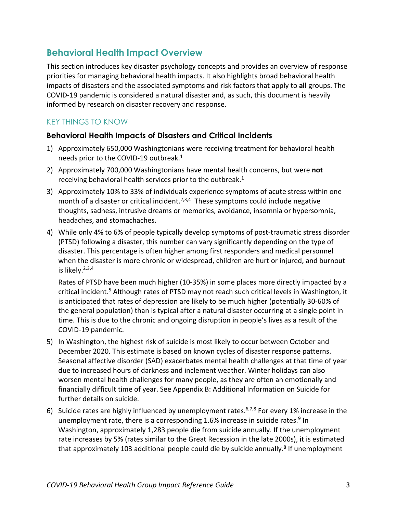## <span id="page-2-0"></span>**Behavioral Health Impact Overview**

This section introduces key disaster psychology concepts and provides an overview of response priorities for managing behavioral health impacts. It also highlights broad behavioral health impacts of disasters and the associated symptoms and risk factors that apply to **all** groups. The COVID-19 pandemic is considered a natural disaster and, as such, this document is heavily informed by research on disaster recovery and response.

## KEY THINGS TO KNOW

#### **Behavioral Health Impacts of Disasters and Critical Incidents**

- <span id="page-2-1"></span>1) Approximately 650,000 Washingtonians were receiving treatment for behavioral health needs prior to the COVID-19 outbreak.1
- 2) Approximately 700,000 Washingtonians have mental health concerns, but were **not** receiving behavioral health services prior to the outbreak. $1$
- <span id="page-2-4"></span><span id="page-2-3"></span><span id="page-2-2"></span>3) Approximately 10% to 33% of individuals experience symptoms of acute stress within one month of a disaster or critical incident.<sup>2,3,4</sup> These symptoms could include negative thoughts, sadness, intrusive dreams or memories, avoidance, insomnia or hypersomnia, headaches, and stomachaches.
- 4) While only 4% to 6% of people typically develop symptoms of post-traumatic stress disorder (PTSD) following a disaster, this number can vary significantly depending on the type of disaster. This percentage is often higher among first responders and medical personnel when the disaster is more chronic or widespread, children are hurt or injured, and burnout is likely. [2,](#page-2-2)[3,](#page-2-3)[4](#page-2-4)

Rates of PTSD have been much higher (10-35%) in some places more directly impacted by a critical incident. <sup>5</sup> Although rates of PTSD may not reach such critical levels in Washington, it is anticipated that rates of depression are likely to be much higher (potentially 30-60% of the general population) than is typical after a natural disaster occurring at a single point in time. This is due to the chronic and ongoing disruption in people's lives as a result of the COVID-19 pandemic.

- 5) In Washington, the highest risk of suicide is most likely to occur between October and December 2020. This estimate is based on known cycles of disaster response patterns. Seasonal affective disorder (SAD) exacerbates mental health challenges at that time of year due to increased hours of darkness and inclement weather. Winter holidays can also worsen mental health challenges for many people, as they are often an emotionally and financially difficult time of year. See [Appendix B: Additional Information on Suicide](#page-45-0) for further details on suicide.
- <span id="page-2-6"></span><span id="page-2-5"></span>6) Suicide rates are highly influenced by unemployment rates.<sup>6,7,8</sup> For every 1% increase in the unemployment rate, there is a corresponding 1.6% increase in suicide rates.<sup>9</sup> In Washington, approximately 1,283 people die from suicide annually. If the unemployment rate increases by 5% (rates similar to the Great Recession in the late 2000s), it is estimated that approximately 103 additional people could die by suicide annually.<sup>[8](#page-2-5)</sup> If unemployment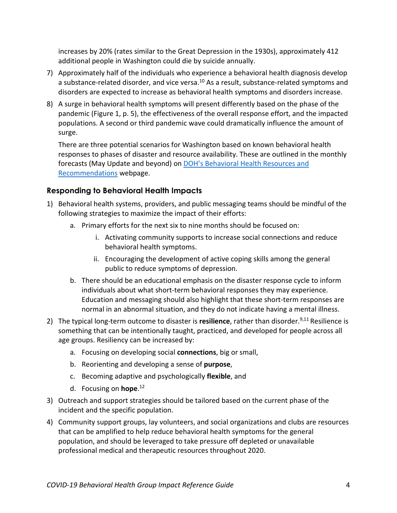increases by 20% (rates similar to the Great Depression in the 1930s), approximately 412 additional people in Washington could die by suicide annually.

- 7) Approximately half of the individuals who experience a behavioral health diagnosis develop a substance-related disorder, and vice versa.<sup>10</sup> As a result, substance-related symptoms and disorders are expected to increase as behavioral health symptoms and disorders increase.
- 8) A surge in behavioral health symptoms will present differently based on the phase of the pandemic (Figure 1, p. 5), the effectiveness of the overall response effort, and the impacted populations. A second or third pandemic wave could dramatically influence the amount of surge.

There are three potential scenarios for Washington based on known behavioral health responses to phases of disaster and resource availability. These are outlined in the monthly forecasts (May Update and beyond) on **DOH's Behavioral Health Resources and** [Recommendations](https://www.doh.wa.gov/Emergencies/NovelCoronavirusOutbreak2020COVID19/HealthcareProviders/BehavioralHealthResources) webpage.

## **Responding to Behavioral Health Impacts**

- 1) Behavioral health systems, providers, and public messaging teams should be mindful of the following strategies to maximize the impact of their efforts:
	- a. Primary efforts for the next six to nine months should be focused on:
		- i. Activating community supports to increase social connections and reduce behavioral health symptoms.
		- ii. Encouraging the development of active coping skills among the general public to reduce symptoms of depression.
	- b. There should be an educational emphasis on the disaster response cycle to inform individuals about what short-term behavioral responses they may experience. Education and messaging should also highlight that these short-term responses are normal in an abnormal situation, and they do not indicate having a mental illness.
- 2) The typical long-term outcome to disaster is **resilience**, rather than disorder.<sup>9,11</sup> Resilience is something that can be intentionally taught, practiced, and developed for people across all age groups. Resiliency can be increased by:
	- a. Focusing on developing social **connections**, big or small,
	- b. Reorienting and developing a sense of **purpose**,
	- c. Becoming adaptive and psychologically **flexible**, and
	- d. Focusing on **hope**. 12
- 3) Outreach and support strategies should be tailored based on the current phase of the incident and the specific population.
- 4) Community support groups, lay volunteers, and social organizations and clubs are resources that can be amplified to help reduce behavioral health symptoms for the general population, and should be leveraged to take pressure off depleted or unavailable professional medical and therapeutic resources throughout 2020.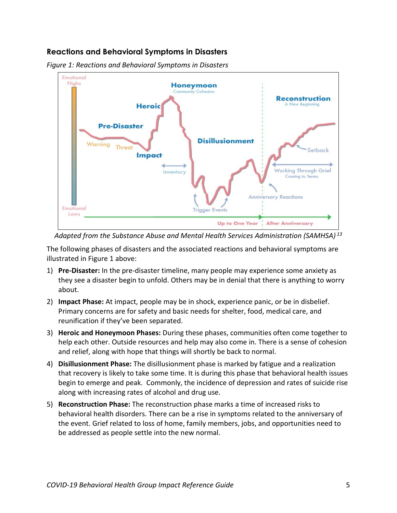## **Reactions and Behavioral Symptoms in Disasters**



*Figure 1: Reactions and Behavioral Symptoms in Disasters*

*Adapted from the Substance Abuse and Mental Health Services Administration (SAMHSA) <sup>13</sup>*

The following phases of disasters and the associated reactions and behavioral symptoms are illustrated in Figure 1 above:

- 1) **Pre-Disaster:** In the pre-disaster timeline, many people may experience some anxiety as they see a disaster begin to unfold. Others may be in denial that there is anything to worry about.
- 2) **Impact Phase:** At impact, people may be in shock, experience panic, or be in disbelief. Primary concerns are for safety and basic needs for shelter, food, medical care, and reunification if they've been separated.
- 3) **Heroic and Honeymoon Phases:** During these phases, communities often come together to help each other. Outside resources and help may also come in. There is a sense of cohesion and relief, along with hope that things will shortly be back to normal.
- 4) **Disillusionment Phase:** The disillusionment phase is marked by fatigue and a realization that recovery is likely to take some time. It is during this phase that behavioral health issues begin to emerge and peak. Commonly, the incidence of depression and rates of suicide rise along with increasing rates of alcohol and drug use.
- 5) **Reconstruction Phase:** The reconstruction phase marks a time of increased risks to behavioral health disorders. There can be a rise in symptoms related to the anniversary of the event. Grief related to loss of home, family members, jobs, and opportunities need to be addressed as people settle into the new normal.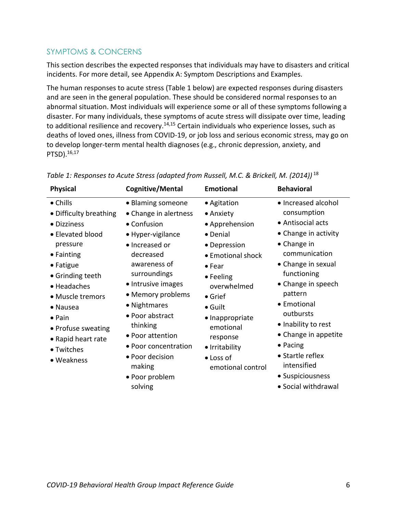## SYMPTOMS & CONCERNS

This section describes the expected responses that individuals may have to disasters and critical incidents. For more detail, see [Appendix A: Symptom Descriptions and Examples.](#page-41-0)

The human responses to acute stress (Table 1 below) are expected responses during disasters and are seen in the general population. These should be considered normal responses to an abnormal situation. Most individuals will experience some or all of these symptoms following a disaster. For many individuals, these symptoms of acute stress will dissipate over time, leading to additional resilience and recovery.<sup>14,15</sup> Certain individuals who experience losses, such as deaths of loved ones, illness from COVID-19, or job loss and serious economic stress, may go on to develop longer-term mental health diagnoses (e.g., chronic depression, anxiety, and PTSD). 16,17

| <b>Physical</b>                                                                                                                                                                                                                                                           | Cognitive/Mental                                                                                                                                                                                                                                                                                                                              | <b>Emotional</b>                                                                                                                                                                                                                                                                | <b>Behavioral</b>                                                                                                                                                                                                                                                                                                                                                  |
|---------------------------------------------------------------------------------------------------------------------------------------------------------------------------------------------------------------------------------------------------------------------------|-----------------------------------------------------------------------------------------------------------------------------------------------------------------------------------------------------------------------------------------------------------------------------------------------------------------------------------------------|---------------------------------------------------------------------------------------------------------------------------------------------------------------------------------------------------------------------------------------------------------------------------------|--------------------------------------------------------------------------------------------------------------------------------------------------------------------------------------------------------------------------------------------------------------------------------------------------------------------------------------------------------------------|
| • Chills<br>• Difficulty breathing<br>• Dizziness<br>• Elevated blood<br>pressure<br>• Fainting<br>• Fatigue<br>• Grinding teeth<br>• Headaches<br>• Muscle tremors<br>• Nausea<br>$\bullet$ Pain<br>• Profuse sweating<br>• Rapid heart rate<br>• Twitches<br>• Weakness | • Blaming someone<br>• Change in alertness<br>• Confusion<br>• Hyper-vigilance<br>• Increased or<br>decreased<br>awareness of<br>surroundings<br>• Intrusive images<br>• Memory problems<br>• Nightmares<br>• Poor abstract<br>thinking<br>• Poor attention<br>• Poor concentration<br>• Poor decision<br>making<br>• Poor problem<br>solving | • Agitation<br>• Anxiety<br>• Apprehension<br>• Denial<br>• Depression<br>• Emotional shock<br>$\bullet$ Fear<br>• Feeling<br>overwhelmed<br>$\bullet$ Grief<br>$\bullet$ Guilt<br>• Inappropriate<br>emotional<br>response<br>• Irritability<br>• Loss of<br>emotional control | • Increased alcohol<br>consumption<br>• Antisocial acts<br>• Change in activity<br>• Change in<br>communication<br>• Change in sexual<br>functioning<br>• Change in speech<br>pattern<br>• Emotional<br>outbursts<br>• Inability to rest<br>• Change in appetite<br>$\bullet$ Pacing<br>• Startle reflex<br>intensified<br>• Suspiciousness<br>• Social withdrawal |

<span id="page-5-0"></span>*Table 1: Responses to Acute Stress (adapted from Russell, M.C. & Brickell, M. (2014))* <sup>18</sup>

• Social withdrawal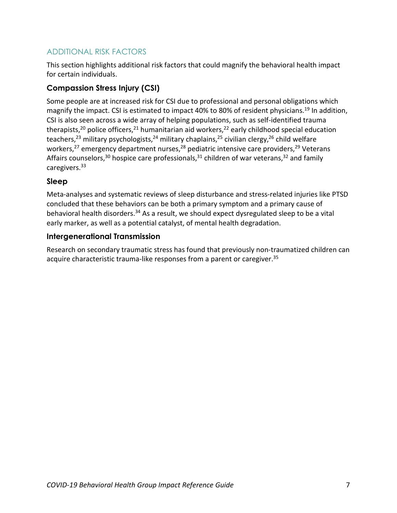## ADDITIONAL RISK FACTORS

This section highlights additional risk factors that could magnify the behavioral health impact for certain individuals.

## **Compassion Stress Injury (CSI)**

Some people are at increased risk for CSI due to professional and personal obligations which magnify the impact. CSI is estimated to impact 40% to 80% of resident physicians.<sup>19</sup> In addition, CSI is also seen across a wide array of helping populations, such as self-identified trauma therapists,<sup>20</sup> police officers,<sup>21</sup> humanitarian aid workers,<sup>22</sup> early childhood special education teachers,<sup>23</sup> military psychologists,<sup>24</sup> military chaplains,<sup>25</sup> civilian clergy,<sup>26</sup> child welfare workers,<sup>27</sup> emergency department nurses,<sup>28</sup> pediatric intensive care providers,<sup>29</sup> Veterans Affairs counselors,<sup>30</sup> hospice care professionals,<sup>31</sup> children of war veterans,<sup>32</sup> and family caregivers.33

## **Sleep**

Meta-analyses and systematic reviews of sleep disturbance and stress-related injuries like PTSD concluded that these behaviors can be both a primary symptom and a primary cause of behavioral health disorders.<sup>34</sup> As a result, we should expect dysregulated sleep to be a vital early marker, as well as a potential catalyst, of mental health degradation.

## **Intergenerational Transmission**

<span id="page-6-0"></span>Research on secondary traumatic stress has found that previously non-traumatized children can acquire characteristic trauma-like responses from a parent or caregiver.<sup>35</sup>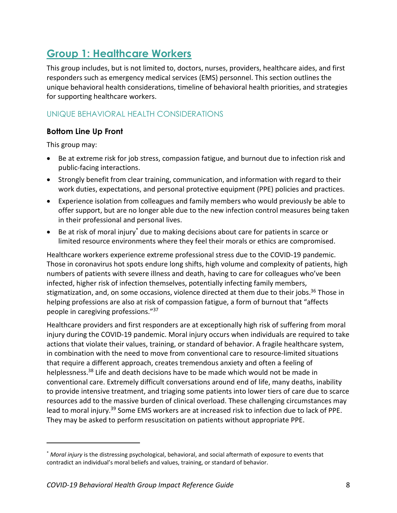## <span id="page-7-0"></span>**Group 1: Healthcare Workers**

This group includes, but is not limited to, doctors, nurses, providers, healthcare aides, and first responders such as emergency medical services (EMS) personnel. This section outlines the unique behavioral health considerations, timeline of behavioral health priorities, and strategies for supporting healthcare workers.

## UNIQUE BEHAVIORAL HEALTH CONSIDERATIONS

## **Bottom Line Up Front**

This group may:

 $\overline{a}$ 

- Be at extreme risk for job stress, compassion fatigue, and burnout due to infection risk and public-facing interactions.
- Strongly benefit from clear training, communication, and information with regard to their work duties, expectations, and personal protective equipment (PPE) policies and practices.
- Experience isolation from colleagues and family members who would previously be able to offer support, but are no longer able due to the new infection control measures being taken in their professional and personal lives.
- Be at risk of moral injury\* due to making decisions about care for patients in scarce or limited resource environments where they feel their morals or ethics are compromised.

Healthcare workers experience extreme professional stress due to the COVID-19 pandemic. Those in coronavirus hot spots endure long shifts, high volume and complexity of patients, high numbers of patients with severe illness and death, having to care for colleagues who've been infected, higher risk of infection themselves, potentially infecting family members, stigmatization, and, on some occasions, violence directed at them due to their jobs. <sup>36</sup> Those in helping professions are also at risk of compassion fatigue, a form of burnout that "affects people in caregiving professions."37

Healthcare providers and first responders are at exceptionally high risk of suffering from moral injury during the COVID-19 pandemic. Moral injury occurs when individuals are required to take actions that violate their values, training, or standard of behavior. A fragile healthcare system, in combination with the need to move from conventional care to resource-limited situations that require a different approach, creates tremendous anxiety and often a feeling of helplessness.<sup>38</sup> Life and death decisions have to be made which would not be made in conventional care. Extremely difficult conversations around end of life, many deaths, inability to provide intensive treatment, and triaging some patients into lower tiers of care due to scarce resources add to the massive burden of clinical overload. These challenging circumstances may lead to moral injury.39 Some EMS workers are at increased risk to infection due to lack of PPE. They may be asked to perform resuscitation on patients without appropriate PPE.

<sup>\*</sup> *Moral injury* is the distressing psychological, behavioral, and social aftermath of exposure to events that contradict an individual's moral beliefs and values, training, or standard of behavior.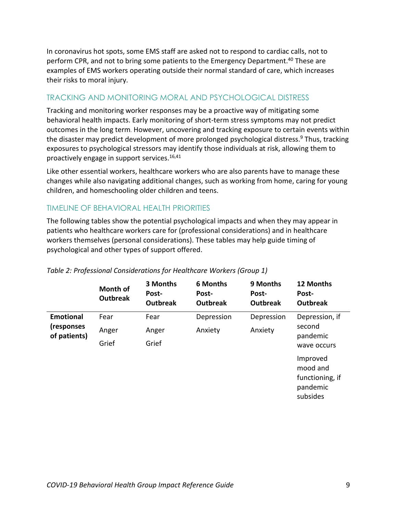In coronavirus hot spots, some EMS staff are asked not to respond to cardiac calls, not to perform CPR, and not to bring some patients to the Emergency Department.<sup>40</sup> These are examples of EMS workers operating outside their normal standard of care, which increases their risks to moral injury.

## TRACKING AND MONITORING MORAL AND PSYCHOLOGICAL DISTRESS

Tracking and monitoring worker responses may be a proactive way of mitigating some behavioral health impacts. Early monitoring of short-term stress symptoms may not predict outcomes in the long term. However, uncovering and tracking exposure to certain events within the disaster may predict development of more prolonged psychological distress.<sup>[9](#page-2-6)</sup> Thus, tracking exposures to psychological stressors may identify those individuals at risk, allowing them to proactively engage in support services. [16,](#page-5-0)41

Like other essential workers, healthcare workers who are also parents have to manage these changes while also navigating additional changes, such as working from home, caring for young children, and homeschooling older children and teens.

## TIMELINE OF BEHAVIORAL HEALTH PRIORITIES

The following tables show the potential psychological impacts and when they may appear in patients who healthcare workers care for (professional considerations) and in healthcare workers themselves (personal considerations). These tables may help guide timing of psychological and other types of support offered.

|                            | <b>Month of</b><br><b>Outbreak</b> | 3 Months<br>Post-<br><b>Outbreak</b> | <b>6 Months</b><br>Post-<br><b>Outbreak</b> | 9 Months<br>Post-<br><b>Outbreak</b> | 12 Months<br>Post-<br><b>Outbreak</b>                           |
|----------------------------|------------------------------------|--------------------------------------|---------------------------------------------|--------------------------------------|-----------------------------------------------------------------|
| <b>Emotional</b>           | Fear                               | Fear                                 | Depression                                  | Depression                           | Depression, if                                                  |
| (responses<br>of patients) | Anger                              | Anger                                | Anxiety                                     | Anxiety                              | second<br>pandemic                                              |
|                            | Grief                              | Grief                                |                                             |                                      | wave occurs                                                     |
|                            |                                    |                                      |                                             |                                      | Improved<br>mood and<br>functioning, if<br>pandemic<br>subsides |

#### *Table 2: Professional Considerations for Healthcare Workers (Group 1)*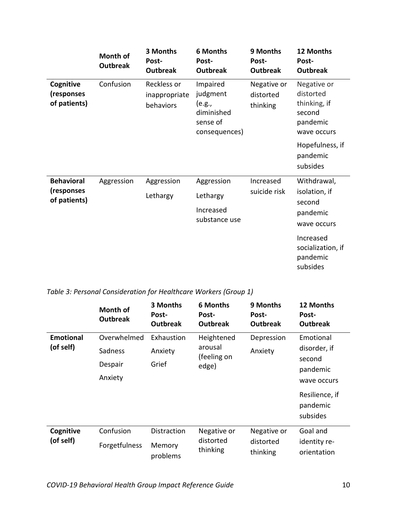|                                         | Month of<br><b>Outbreak</b> | 3 Months<br>Post-<br><b>Outbreak</b>      | <b>6 Months</b><br>Post-<br><b>Outbreak</b>                               | 9 Months<br>Post-<br><b>Outbreak</b> | 12 Months<br>Post-<br><b>Outbreak</b>                                         |
|-----------------------------------------|-----------------------------|-------------------------------------------|---------------------------------------------------------------------------|--------------------------------------|-------------------------------------------------------------------------------|
| Cognitive<br>(responses<br>of patients) | Confusion                   | Reckless or<br>inappropriate<br>behaviors | Impaired<br>judgment<br>(e.g.,<br>diminished<br>sense of<br>consequences) | Negative or<br>distorted<br>thinking | Negative or<br>distorted<br>thinking, if<br>second<br>pandemic<br>wave occurs |
|                                         |                             |                                           |                                                                           |                                      | Hopefulness, if<br>pandemic<br>subsides                                       |
| <b>Behavioral</b>                       | Aggression                  | Aggression                                | Aggression                                                                | Increased                            | Withdrawal,                                                                   |
| (responses<br>of patients)              |                             | Lethargy                                  | Lethargy                                                                  | suicide risk                         | isolation, if<br>second<br>pandemic<br>wave occurs                            |
|                                         |                             |                                           | Increased<br>substance use                                                |                                      |                                                                               |
|                                         |                             |                                           |                                                                           |                                      | Increased<br>socialization, if<br>pandemic<br>subsides                        |

## *Table 3: Personal Consideration for Healthcare Workers (Group 1)*

|                  | <b>Month of</b><br><b>Outbreak</b> | 3 Months<br>Post-<br><b>Outbreak</b> | <b>6 Months</b><br>Post-<br><b>Outbreak</b> | 9 Months<br>Post-<br><b>Outbreak</b> | 12 Months<br>Post-<br><b>Outbreak</b>  |
|------------------|------------------------------------|--------------------------------------|---------------------------------------------|--------------------------------------|----------------------------------------|
| <b>Emotional</b> | Overwhelmed                        | Exhaustion                           | Heightened                                  | Depression                           | Emotional                              |
| (of self)        | Sadness                            | Anxiety                              | arousal<br>(feeling on                      | Anxiety                              | disorder, if                           |
|                  | Despair                            | Grief                                | edge)                                       |                                      | second<br>pandemic                     |
|                  | Anxiety                            |                                      |                                             |                                      | wave occurs                            |
|                  |                                    |                                      |                                             |                                      | Resilience, if<br>pandemic<br>subsides |
| Cognitive        | Confusion                          | Distraction                          | Negative or                                 | Negative or                          | Goal and                               |
| (of self)        | Forgetfulness                      | Memory<br>problems                   | distorted<br>thinking                       | distorted<br>thinking                | identity re-<br>orientation            |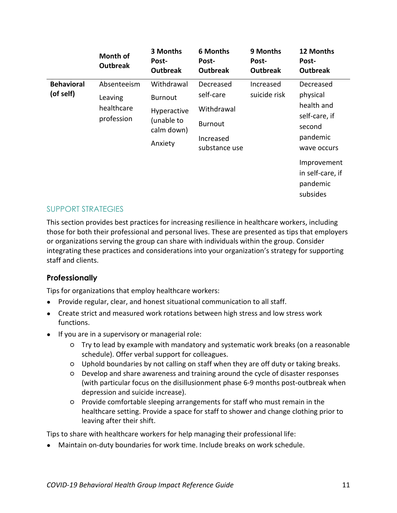|                                | Month of<br><b>Outbreak</b>                        | 3 Months<br>Post-<br><b>Outbreak</b>                                               | <b>6 Months</b><br>Post-<br><b>Outbreak</b>                                          | 9 Months<br>Post-<br><b>Outbreak</b> | 12 Months<br>Post-<br><b>Outbreak</b>                                                                                                                |
|--------------------------------|----------------------------------------------------|------------------------------------------------------------------------------------|--------------------------------------------------------------------------------------|--------------------------------------|------------------------------------------------------------------------------------------------------------------------------------------------------|
| <b>Behavioral</b><br>(of self) | Absenteeism<br>Leaving<br>healthcare<br>profession | Withdrawal<br><b>Burnout</b><br>Hyperactive<br>(unable to<br>calm down)<br>Anxiety | Decreased<br>self-care<br>Withdrawal<br><b>Burnout</b><br>Increased<br>substance use | Increased<br>suicide risk            | Decreased<br>physical<br>health and<br>self-care, if<br>second<br>pandemic<br>wave occurs<br>Improvement<br>in self-care, if<br>pandemic<br>subsides |

#### SUPPORT STRATEGIES

This section provides best practices for increasing resilience in healthcare workers, including those for both their professional and personal lives. These are presented as tips that employers or organizations serving the group can share with individuals within the group. Consider integrating these practices and considerations into your organization's strategy for supporting staff and clients.

## **Professionally**

Tips for organizations that employ healthcare workers:

- Provide regular, clear, and honest situational communication to all staff.
- Create strict and measured work rotations between high stress and low stress work functions.
- If you are in a supervisory or managerial role:
	- Try to lead by example with mandatory and systematic work breaks (on a reasonable schedule). Offer verbal support for colleagues.
	- Uphold boundaries by not calling on staff when they are off duty or taking breaks.
	- Develop and share awareness and training around the cycle of disaster responses (with particular focus on the disillusionment phase 6-9 months post-outbreak when depression and suicide increase).
	- Provide comfortable sleeping arrangements for staff who must remain in the healthcare setting. Provide a space for staff to shower and change clothing prior to leaving after their shift.

Tips to share with healthcare workers for help managing their professional life:

● Maintain on-duty boundaries for work time. Include breaks on work schedule.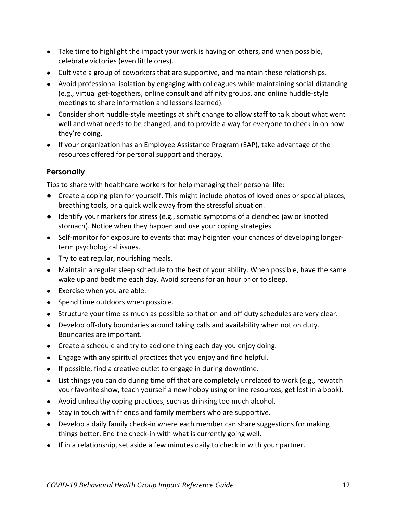- Take time to highlight the impact your work is having on others, and when possible, celebrate victories (even little ones).
- Cultivate a group of coworkers that are supportive, and maintain these relationships.
- Avoid professional isolation by engaging with colleagues while maintaining social distancing (e.g., virtual get-togethers, online consult and affinity groups, and online huddle-style meetings to share information and lessons learned).
- Consider short huddle-style meetings at shift change to allow staff to talk about what went well and what needs to be changed, and to provide a way for everyone to check in on how they're doing.
- If your organization has an Employee Assistance Program (EAP), take advantage of the resources offered for personal support and therapy.

## **Personally**

Tips to share with healthcare workers for help managing their personal life:

- Create a coping plan for yourself. This might include photos of loved ones or special places, breathing tools, or a quick walk away from the stressful situation.
- Identify your markers for stress (e.g., somatic symptoms of a clenched jaw or knotted stomach). Notice when they happen and use your coping strategies.
- Self-monitor for exposure to events that may heighten your chances of developing longerterm psychological issues.
- Try to eat regular, nourishing meals.
- Maintain a regular sleep schedule to the best of your ability. When possible, have the same wake up and bedtime each day. Avoid screens for an hour prior to sleep.
- Exercise when you are able.
- Spend time outdoors when possible.
- Structure your time as much as possible so that on and off duty schedules are very clear.
- Develop off-duty boundaries around taking calls and availability when not on duty. Boundaries are important.
- Create a schedule and try to add one thing each day you enjoy doing.
- Engage with any spiritual practices that you enjoy and find helpful.
- If possible, find a creative outlet to engage in during downtime.
- List things you can do during time off that are completely unrelated to work (e.g., rewatch your favorite show, teach yourself a new hobby using online resources, get lost in a book).
- Avoid unhealthy coping practices, such as drinking too much alcohol.
- Stay in touch with friends and family members who are supportive.
- Develop a daily family check-in where each member can share suggestions for making things better. End the check-in with what is currently going well.
- If in a relationship, set aside a few minutes daily to check in with your partner.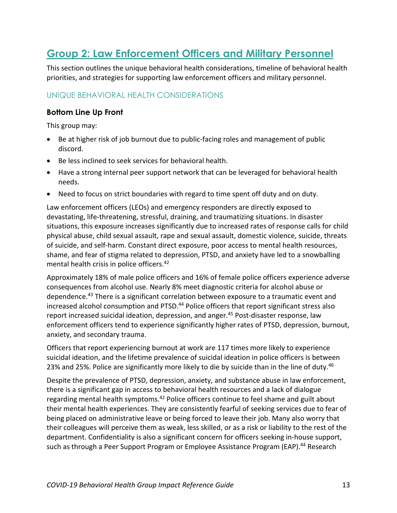## <span id="page-12-0"></span>**Group 2: Law Enforcement Officers and Military Personnel**

This section outlines the unique behavioral health considerations, timeline of behavioral health priorities, and strategies for supporting law enforcement officers and military personnel.

## UNIQUE BEHAVIORAL HEALTH CONSIDERATIONS

#### **Bottom Line Up Front**

This group may:

- Be at higher risk of job burnout due to public-facing roles and management of public discord.
- Be less inclined to seek services for behavioral health.
- Have a strong internal peer support network that can be leveraged for behavioral health needs.
- Need to focus on strict boundaries with regard to time spent off duty and on duty.

Law enforcement officers (LEOs) and emergency responders are directly exposed to devastating, life-threatening, stressful, draining, and traumatizing situations. In disaster situations, this exposure increases significantly due to increased rates of response calls for child physical abuse, child sexual assault, rape and sexual assault, domestic violence, suicide, threats of suicide, and self-harm. Constant direct exposure, poor access to mental health resources, shame, and fear of stigma related to depression, PTSD, and anxiety have led to a snowballing mental health crisis in police officers. 42

<span id="page-12-2"></span><span id="page-12-1"></span>Approximately 18% of male police officers and 16% of female police officers experience adverse consequences from alcohol use. Nearly 8% meet diagnostic criteria for alcohol abuse or dependence.<sup>43</sup> There is a significant correlation between exposure to a traumatic event and increased alcohol consumption and PTSD.<sup>44</sup> Police officers that report significant stress also report increased suicidal ideation, depression, and anger. <sup>45</sup> Post-disaster response, law enforcement officers tend to experience significantly higher rates of PTSD, depression, burnout, anxiety, and secondary trauma.

Officers that report experiencing burnout at work are 117 times more likely to experience suicidal ideation, and the lifetime prevalence of suicidal ideation in police officers is between 23% and 25%. Police are significantly more likely to die by suicide than in the line of duty.<sup>46</sup>

Despite the prevalence of PTSD, depression, anxiety, and substance abuse in law enforcement, there is a significant gap in access to behavioral health resources and a lack of dialogue regarding mental health symptoms.<sup>[42](#page-12-1)</sup> Police officers continue to feel shame and guilt about their mental health experiences. They are consistently fearful of seeking services due to fear of being placed on administrative leave or being forced to leave their job. Many also worry that their colleagues will perceive them as weak, less skilled, or as a risk or liability to the rest of the department. Confidentiality is also a significant concern for officers seeking in-house support, such as through a Peer Support Program or Employee Assistance Program (EAP).<sup>[44](#page-12-2)</sup> Research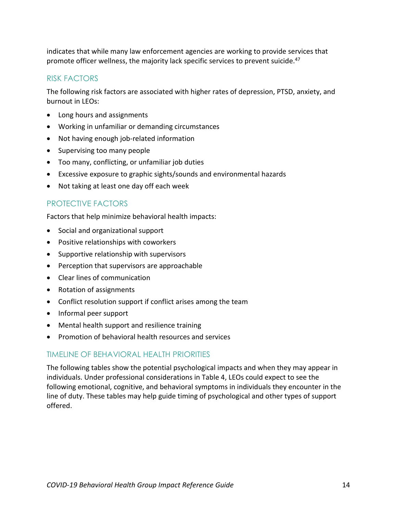indicates that while many law enforcement agencies are working to provide services that promote officer wellness, the majority lack specific services to prevent suicide.<sup>47</sup>

#### RISK FACTORS

The following risk factors are associated with higher rates of depression, PTSD, anxiety, and burnout in LEOs:

- Long hours and assignments
- Working in unfamiliar or demanding circumstances
- Not having enough job-related information
- Supervising too many people
- Too many, conflicting, or unfamiliar job duties
- Excessive exposure to graphic sights/sounds and environmental hazards
- Not taking at least one day off each week

#### PROTECTIVE FACTORS

Factors that help minimize behavioral health impacts:

- Social and organizational support
- Positive relationships with coworkers
- Supportive relationship with supervisors
- Perception that supervisors are approachable
- Clear lines of communication
- Rotation of assignments
- Conflict resolution support if conflict arises among the team
- Informal peer support
- Mental health support and resilience training
- Promotion of behavioral health resources and services

#### TIMELINE OF BEHAVIORAL HEALTH PRIORITIES

The following tables show the potential psychological impacts and when they may appear in individuals. Under professional considerations in Table 4, LEOs could expect to see the following emotional, cognitive, and behavioral symptoms in individuals they encounter in the line of duty. These tables may help guide timing of psychological and other types of support offered.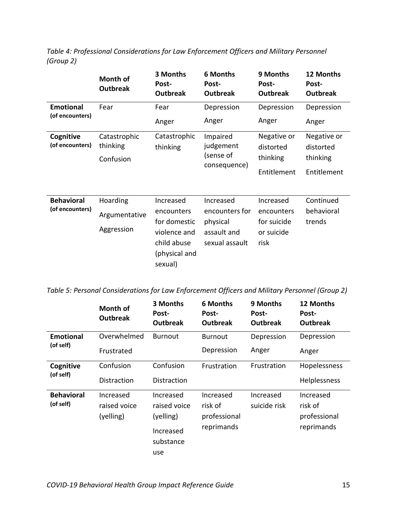|                                     | Month of<br><b>Outbreak</b>               | 3 Months<br>Post-<br><b>Outbreak</b>    | <b>6 Months</b><br>Post-<br><b>Outbreak</b> | 9 Months<br>Post-<br><b>Outbreak</b> | 12 Months<br>Post-<br><b>Outbreak</b> |
|-------------------------------------|-------------------------------------------|-----------------------------------------|---------------------------------------------|--------------------------------------|---------------------------------------|
| <b>Emotional</b><br>(of encounters) | Fear                                      | Fear                                    | Depression                                  | Depression                           | Depression                            |
|                                     |                                           | Anger                                   | Anger                                       | Anger                                | Anger                                 |
| Cognitive<br>(of encounters)        | Catastrophic<br>thinking                  | Catastrophic<br>thinking                | Impaired<br>judgement                       | Negative or<br>distorted             | Negative or<br>distorted              |
|                                     | Confusion                                 |                                         | (sense of<br>consequence)                   | thinking                             | thinking                              |
|                                     |                                           |                                         |                                             | Entitlement                          | Entitlement                           |
|                                     |                                           |                                         |                                             |                                      |                                       |
| <b>Behavioral</b>                   | Hoarding                                  | Increased                               | Increased                                   | Increased                            | Continued                             |
| (of encounters)                     | Argumentative                             | encounters<br>for domestic              | encounters for<br>physical                  | encounters<br>for suicide            | behavioral<br>trends                  |
|                                     | Aggression<br>assault and<br>violence and | or suicide                              |                                             |                                      |                                       |
|                                     |                                           | child abuse<br>(physical and<br>sexual) | sexual assault                              | risk                                 |                                       |

*Table 4: Professional Considerations for Law Enforcement Officers and Military Personnel (Group 2)*

*Table 5: Personal Considerations for Law Enforcement Officers and Military Personnel (Group 2)*

|                                | Month of<br><b>Outbreak</b>            | 3 Months<br>Post-<br><b>Outbreak</b>                                    | 6 Months<br>Post-<br><b>Outbreak</b>               | 9 Months<br>Post-<br><b>Outbreak</b> | 12 Months<br>Post-<br><b>Outbreak</b>              |
|--------------------------------|----------------------------------------|-------------------------------------------------------------------------|----------------------------------------------------|--------------------------------------|----------------------------------------------------|
| <b>Emotional</b>               | Overwhelmed                            | <b>Burnout</b>                                                          | <b>Burnout</b>                                     | Depression                           | Depression                                         |
| (of self)                      | Frustrated                             |                                                                         | Depression                                         | Anger                                | Anger                                              |
| Cognitive                      | Confusion                              | Confusion                                                               | Frustration                                        | Frustration                          | Hopelessness                                       |
| (of self)                      | Distraction                            | Distraction                                                             |                                                    |                                      | Helplessness                                       |
| <b>Behavioral</b><br>(of self) | Increased<br>raised voice<br>(yelling) | Increased<br>raised voice<br>(yelling)<br>Increased<br>substance<br>use | Increased<br>risk of<br>professional<br>reprimands | Increased<br>suicide risk            | Increased<br>risk of<br>professional<br>reprimands |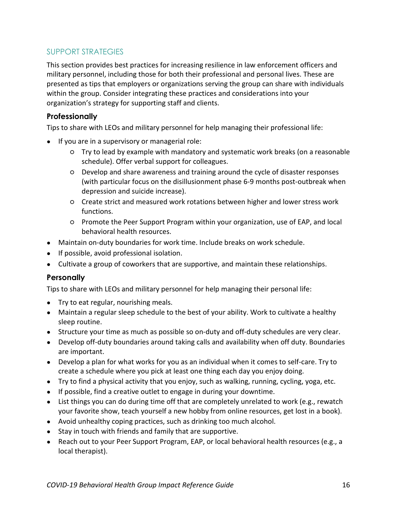## SUPPORT STRATEGIES

This section provides best practices for increasing resilience in law enforcement officers and military personnel, including those for both their professional and personal lives. These are presented as tips that employers or organizations serving the group can share with individuals within the group. Consider integrating these practices and considerations into your organization's strategy for supporting staff and clients.

## **Professionally**

Tips to share with LEOs and military personnel for help managing their professional life:

- If you are in a supervisory or managerial role:
	- Try to lead by example with mandatory and systematic work breaks (on a reasonable schedule). Offer verbal support for colleagues.
	- Develop and share awareness and training around the cycle of disaster responses (with particular focus on the disillusionment phase 6-9 months post-outbreak when depression and suicide increase).
	- Create strict and measured work rotations between higher and lower stress work functions.
	- Promote the Peer Support Program within your organization, use of EAP, and local behavioral health resources.
- Maintain on-duty boundaries for work time. Include breaks on work schedule.
- If possible, avoid professional isolation.
- Cultivate a group of coworkers that are supportive, and maintain these relationships.

## **Personally**

Tips to share with LEOs and military personnel for help managing their personal life:

- Try to eat regular, nourishing meals.
- Maintain a regular sleep schedule to the best of your ability. Work to cultivate a healthy sleep routine.
- Structure your time as much as possible so on-duty and off-duty schedules are very clear.
- Develop off-duty boundaries around taking calls and availability when off duty. Boundaries are important.
- Develop a plan for what works for you as an individual when it comes to self-care. Try to create a schedule where you pick at least one thing each day you enjoy doing.
- Try to find a physical activity that you enjoy, such as walking, running, cycling, yoga, etc.
- If possible, find a creative outlet to engage in during your downtime.
- List things you can do during time off that are completely unrelated to work (e.g., rewatch your favorite show, teach yourself a new hobby from online resources, get lost in a book).
- Avoid unhealthy coping practices, such as drinking too much alcohol.
- Stay in touch with friends and family that are supportive.
- Reach out to your Peer Support Program, EAP, or local behavioral health resources (e.g., a local therapist).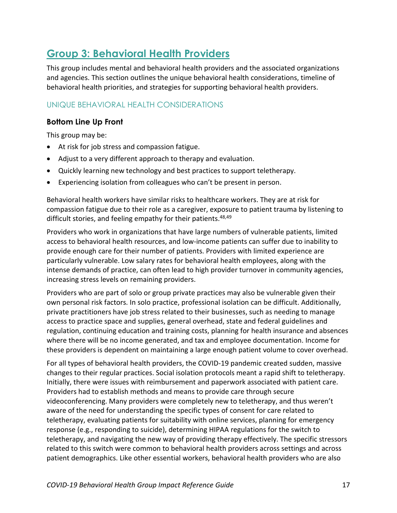## <span id="page-16-0"></span>**Group 3: Behavioral Health Providers**

This group includes mental and behavioral health providers and the associated organizations and agencies. This section outlines the unique behavioral health considerations, timeline of behavioral health priorities, and strategies for supporting behavioral health providers.

## UNIQUE BEHAVIORAL HEALTH CONSIDERATIONS

## **Bottom Line Up Front**

This group may be:

- At risk for job stress and compassion fatigue.
- Adjust to a very different approach to therapy and evaluation.
- Quickly learning new technology and best practices to support teletherapy.
- Experiencing isolation from colleagues who can't be present in person.

Behavioral health workers have similar risks to healthcare workers. They are at risk for compassion fatigue due to their role as a caregiver, exposure to patient trauma by listening to difficult stories, and feeling empathy for their patients.<sup>48,49</sup>

Providers who work in organizations that have large numbers of vulnerable patients, limited access to behavioral health resources, and low-income patients can suffer due to inability to provide enough care for their number of patients. Providers with limited experience are particularly vulnerable. Low salary rates for behavioral health employees, along with the intense demands of practice, can often lead to high provider turnover in community agencies, increasing stress levels on remaining providers.

Providers who are part of solo or group private practices may also be vulnerable given their own personal risk factors. In solo practice, professional isolation can be difficult. Additionally, private practitioners have job stress related to their businesses, such as needing to manage access to practice space and supplies, general overhead, state and federal guidelines and regulation, continuing education and training costs, planning for health insurance and absences where there will be no income generated, and tax and employee documentation. Income for these providers is dependent on maintaining a large enough patient volume to cover overhead.

For all types of behavioral health providers, the COVID-19 pandemic created sudden, massive changes to their regular practices. Social isolation protocols meant a rapid shift to teletherapy. Initially, there were issues with reimbursement and paperwork associated with patient care. Providers had to establish methods and means to provide care through secure videoconferencing. Many providers were completely new to teletherapy, and thus weren't aware of the need for understanding the specific types of consent for care related to teletherapy, evaluating patients for suitability with online services, planning for emergency response (e.g., responding to suicide), determining HIPAA regulations for the switch to teletherapy, and navigating the new way of providing therapy effectively. The specific stressors related to this switch were common to behavioral health providers across settings and across patient demographics. Like other essential workers, behavioral health providers who are also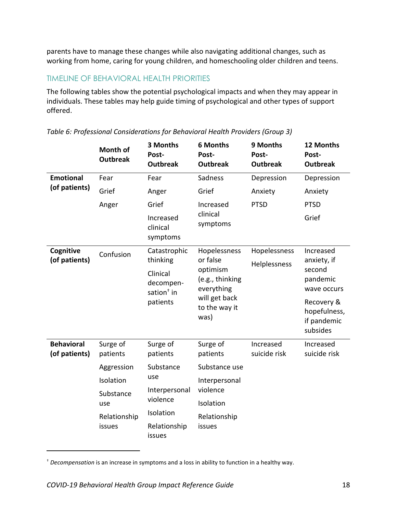parents have to manage these changes while also navigating additional changes, such as working from home, caring for young children, and homeschooling older children and teens.

#### TIMELINE OF BEHAVIORAL HEALTH PRIORITIES

The following tables show the potential psychological impacts and when they may appear in individuals. These tables may help guide timing of psychological and other types of support offered.

|                                                             | <b>Month of</b><br><b>Outbreak</b>                 | 3 Months<br>Post-<br><b>Outbreak</b>                      | <b>6 Months</b><br>Post-<br><b>Outbreak</b> | 9 Months<br>Post-<br><b>Outbreak</b> | 12 Months<br>Post-<br><b>Outbreak</b>                 |
|-------------------------------------------------------------|----------------------------------------------------|-----------------------------------------------------------|---------------------------------------------|--------------------------------------|-------------------------------------------------------|
| <b>Emotional</b>                                            | Fear                                               | Fear                                                      | Sadness                                     | Depression                           | Depression                                            |
| (of patients)                                               | Grief                                              | Anger                                                     | Grief                                       | Anxiety                              | Anxiety                                               |
|                                                             | Anger                                              | Grief                                                     | Increased                                   | <b>PTSD</b>                          | <b>PTSD</b>                                           |
|                                                             |                                                    | clinical<br>Increased<br>symptoms<br>clinical<br>symptoms |                                             |                                      | Grief                                                 |
| Cognitive                                                   | Confusion                                          | Catastrophic                                              | Hopelessness                                | Hopelessness                         | Increased                                             |
| (of patients)                                               |                                                    | thinking<br>or false                                      | optimism                                    | Helplessness                         | anxiety, if<br>second                                 |
| Clinical<br>decompen-<br>sation <sup>+</sup> in<br>patients | (e.g., thinking<br>everything                      |                                                           | pandemic<br>wave occurs                     |                                      |                                                       |
|                                                             |                                                    |                                                           | will get back<br>to the way it<br>was)      |                                      | Recovery &<br>hopefulness,<br>if pandemic<br>subsides |
| <b>Behavioral</b><br>(of patients)                          | Surge of<br>patients                               | Surge of<br>patients                                      | Surge of<br>patients                        | Increased<br>suicide risk            | Increased<br>suicide risk                             |
|                                                             | Aggression                                         | Substance                                                 | Substance use                               |                                      |                                                       |
|                                                             | Isolation                                          | use                                                       | Interpersonal                               |                                      |                                                       |
|                                                             | violence<br>Interpersonal<br>Substance<br>violence |                                                           |                                             |                                      |                                                       |
|                                                             | use                                                | Isolation                                                 | Isolation                                   |                                      |                                                       |
|                                                             | Relationship<br>issues                             | Relationship<br>issues                                    | Relationship<br>issues                      |                                      |                                                       |

*Table 6: Professional Considerations for Behavioral Health Providers (Group 3)*

 $\overline{a}$ 

<sup>†</sup> *Decompensation* is an increase in symptoms and a loss in ability to function in a healthy way.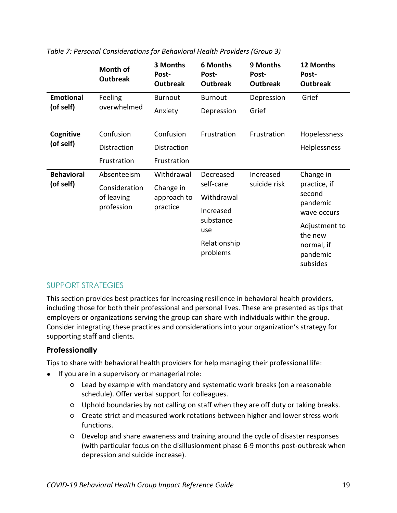|                   | Month of<br><b>Outbreak</b> | 3 Months<br>Post-<br><b>Outbreak</b> | <b>6 Months</b><br>Post-<br><b>Outbreak</b> | 9 Months<br>Post-<br><b>Outbreak</b> | 12 Months<br>Post-<br><b>Outbreak</b> |
|-------------------|-----------------------------|--------------------------------------|---------------------------------------------|--------------------------------------|---------------------------------------|
| <b>Emotional</b>  | Feeling                     | <b>Burnout</b>                       | <b>Burnout</b>                              | Depression                           | Grief                                 |
| (of self)         | overwhelmed                 | Anxiety                              | Depression                                  | Grief                                |                                       |
| Cognitive         | Confusion                   | Confusion                            | Frustration                                 | Frustration                          | Hopelessness                          |
| (of self)         | Distraction                 | Distraction                          |                                             |                                      | Helplessness                          |
|                   | Frustration                 | Frustration                          |                                             |                                      |                                       |
| <b>Behavioral</b> | Absenteeism                 | Withdrawal                           | Decreased<br>self-care                      | Increased                            | Change in<br>practice, if<br>second   |
| (of self)         | Consideration               | Change in                            |                                             | suicide risk                         |                                       |
|                   | of leaving                  | approach to                          | Withdrawal                                  |                                      | pandemic                              |
|                   | profession                  | practice                             | Increased                                   |                                      | wave occurs                           |
|                   |                             |                                      | substance<br>use                            |                                      | Adjustment to<br>the new              |
|                   |                             |                                      | Relationship<br>problems                    |                                      | normal, if<br>pandemic<br>subsides    |

#### *Table 7: Personal Considerations for Behavioral Health Providers (Group 3)*

#### SUPPORT STRATEGIES

This section provides best practices for increasing resilience in behavioral health providers, including those for both their professional and personal lives. These are presented as tips that employers or organizations serving the group can share with individuals within the group. Consider integrating these practices and considerations into your organization's strategy for supporting staff and clients.

#### **Professionally**

Tips to share with behavioral health providers for help managing their professional life:

- If you are in a supervisory or managerial role:
	- Lead by example with mandatory and systematic work breaks (on a reasonable schedule). Offer verbal support for colleagues.
	- Uphold boundaries by not calling on staff when they are off duty or taking breaks.
	- Create strict and measured work rotations between higher and lower stress work functions.
	- Develop and share awareness and training around the cycle of disaster responses (with particular focus on the disillusionment phase 6-9 months post-outbreak when depression and suicide increase).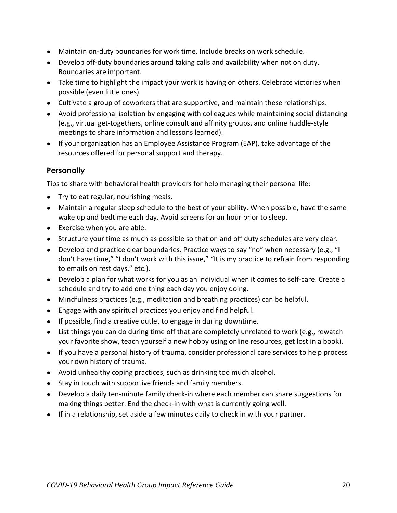- Maintain on-duty boundaries for work time. Include breaks on work schedule.
- Develop off-duty boundaries around taking calls and availability when not on duty. Boundaries are important.
- Take time to highlight the impact your work is having on others. Celebrate victories when possible (even little ones).
- Cultivate a group of coworkers that are supportive, and maintain these relationships.
- Avoid professional isolation by engaging with colleagues while maintaining social distancing (e.g., virtual get-togethers, online consult and affinity groups, and online huddle-style meetings to share information and lessons learned).
- If your organization has an Employee Assistance Program (EAP), take advantage of the resources offered for personal support and therapy.

## **Personally**

Tips to share with behavioral health providers for help managing their personal life:

- Try to eat regular, nourishing meals.
- Maintain a regular sleep schedule to the best of your ability. When possible, have the same wake up and bedtime each day. Avoid screens for an hour prior to sleep.
- Exercise when you are able.
- Structure your time as much as possible so that on and off duty schedules are very clear.
- Develop and practice clear boundaries. Practice ways to say "no" when necessary (e.g., "I don't have time," "I don't work with this issue," "It is my practice to refrain from responding to emails on rest days," etc.).
- Develop a plan for what works for you as an individual when it comes to self-care. Create a schedule and try to add one thing each day you enjoy doing.
- Mindfulness practices (e.g., meditation and breathing practices) can be helpful.
- Engage with any spiritual practices you enjoy and find helpful.
- If possible, find a creative outlet to engage in during downtime.
- List things you can do during time off that are completely unrelated to work (e.g., rewatch your favorite show, teach yourself a new hobby using online resources, get lost in a book).
- If you have a personal history of trauma, consider professional care services to help process your own history of trauma.
- Avoid unhealthy coping practices, such as drinking too much alcohol.
- Stay in touch with supportive friends and family members.
- Develop a daily ten-minute family check-in where each member can share suggestions for making things better. End the check-in with what is currently going well.
- If in a relationship, set aside a few minutes daily to check in with your partner.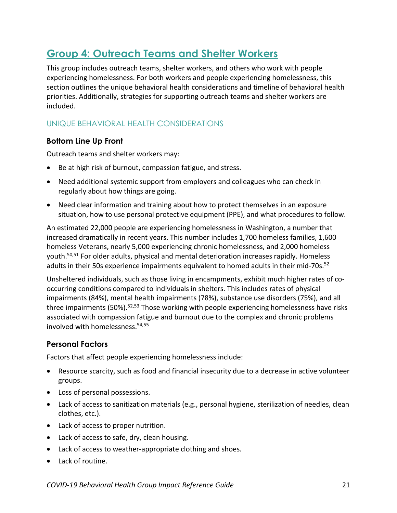## <span id="page-20-0"></span>**Group 4: Outreach Teams and Shelter Workers**

This group includes outreach teams, shelter workers, and others who work with people experiencing homelessness. For both workers and people experiencing homelessness, this section outlines the unique behavioral health considerations and timeline of behavioral health priorities. Additionally, strategies for supporting outreach teams and shelter workers are included.

## UNIQUE BEHAVIORAL HEALTH CONSIDERATIONS

## **Bottom Line Up Front**

Outreach teams and shelter workers may:

- Be at high risk of burnout, compassion fatigue, and stress.
- Need additional systemic support from employers and colleagues who can check in regularly about how things are going.
- Need clear information and training about how to protect themselves in an exposure situation, how to use personal protective equipment (PPE), and what procedures to follow.

An estimated 22,000 people are experiencing homelessness in Washington, a number that increased dramatically in recent years. This number includes 1,700 homeless families, 1,600 homeless Veterans, nearly 5,000 experiencing chronic homelessness, and 2,000 homeless youth. 50,51 For older adults, physical and mental deterioration increases rapidly. Homeless adults in their 50s experience impairments equivalent to homed adults in their mid-70s.<sup>52</sup>

<span id="page-20-1"></span>Unsheltered individuals, such as those living in encampments, exhibit much higher rates of cooccurring conditions compared to individuals in shelters. This includes rates of physical impairments (84%), mental health impairments (78%), substance use disorders (75%), and all three impairments (50%).<sup>[52,5](#page-20-1)3</sup> Those working with people experiencing homelessness have risks associated with compassion fatigue and burnout due to the complex and chronic problems involved with homelessness.54,55

## **Personal Factors**

Factors that affect people experiencing homelessness include:

- Resource scarcity, such as food and financial insecurity due to a decrease in active volunteer groups.
- Loss of personal possessions.
- Lack of access to sanitization materials (e.g., personal hygiene, sterilization of needles, clean clothes, etc.).
- Lack of access to proper nutrition.
- Lack of access to safe, dry, clean housing.
- Lack of access to weather-appropriate clothing and shoes.
- Lack of routine.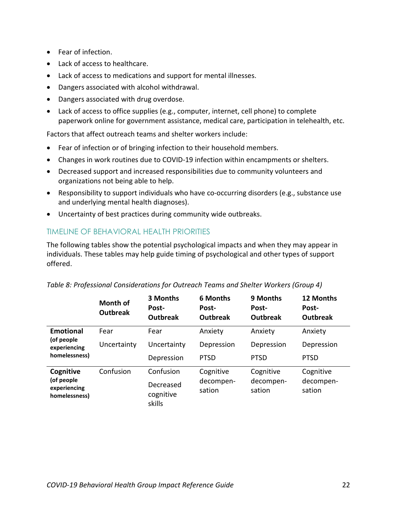- Fear of infection.
- Lack of access to healthcare.
- Lack of access to medications and support for mental illnesses.
- Dangers associated with alcohol withdrawal.
- Dangers associated with drug overdose.
- Lack of access to office supplies (e.g., computer, internet, cell phone) to complete paperwork online for government assistance, medical care, participation in telehealth, etc.

Factors that affect outreach teams and shelter workers include:

- Fear of infection or of bringing infection to their household members.
- Changes in work routines due to COVID-19 infection within encampments or shelters.
- Decreased support and increased responsibilities due to community volunteers and organizations not being able to help.
- Responsibility to support individuals who have co-occurring disorders (e.g., substance use and underlying mental health diagnoses).
- Uncertainty of best practices during community wide outbreaks.

## TIMELINE OF BEHAVIORAL HEALTH PRIORITIES

The following tables show the potential psychological impacts and when they may appear in individuals. These tables may help guide timing of psychological and other types of support offered.

|                                             | Month of<br><b>Outbreak</b> | 3 Months<br>Post-<br><b>Outbreak</b> | <b>6 Months</b><br>Post-<br><b>Outbreak</b> | 9 Months<br>Post-<br><b>Outbreak</b> | 12 Months<br>Post-<br><b>Outbreak</b> |
|---------------------------------------------|-----------------------------|--------------------------------------|---------------------------------------------|--------------------------------------|---------------------------------------|
| <b>Emotional</b>                            | Fear                        | Fear                                 | Anxiety                                     | Anxiety                              | Anxiety                               |
| (of people<br>experiencing<br>homelessness) | Uncertainty                 | Uncertainty                          | Depression                                  | Depression                           | Depression                            |
|                                             |                             | Depression                           | <b>PTSD</b>                                 | <b>PTSD</b>                          | <b>PTSD</b>                           |
| Cognitive                                   | Confusion                   | Confusion                            | Cognitive                                   | Cognitive                            | Cognitive                             |
| (of people<br>experiencing<br>homelessness) |                             | Decreased<br>cognitive<br>skills     | decompen-<br>sation                         | decompen-<br>sation                  | decompen-<br>sation                   |

| Table 8: Professional Considerations for Outreach Teams and Shelter Workers (Group 4) |  |  |  |  |
|---------------------------------------------------------------------------------------|--|--|--|--|
|---------------------------------------------------------------------------------------|--|--|--|--|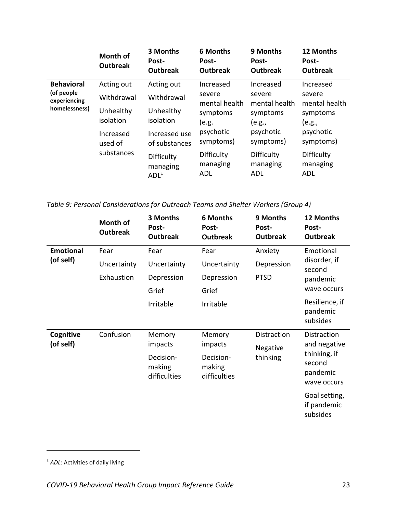|                                             | Month of<br><b>Outbreak</b> | 3 Months<br>Post-<br><b>Outbreak</b>       | <b>6 Months</b><br>Post-<br><b>Outbreak</b> | 9 Months<br>Post-<br><b>Outbreak</b> | 12 Months<br>Post-<br><b>Outbreak</b> |
|---------------------------------------------|-----------------------------|--------------------------------------------|---------------------------------------------|--------------------------------------|---------------------------------------|
| <b>Behavioral</b>                           | Acting out                  | Acting out                                 | Increased                                   | Increased                            | Increased                             |
| (of people<br>experiencing<br>homelessness) | Withdrawal                  | Withdrawal                                 | severe<br>mental health                     | severe<br>mental health              | severe<br>mental health               |
|                                             | Unhealthy<br>isolation      | Unhealthy<br>isolation                     | symptoms<br>(e.g.                           | symptoms<br>(e.g.,                   | symptoms<br>(e.g.,                    |
|                                             | Increased<br>used of        | Increased use<br>of substances             | psychotic<br>symptoms)                      | psychotic<br>symptoms)               | psychotic<br>symptoms)                |
|                                             | substances                  | Difficulty<br>managing<br>$ADL^{\ddagger}$ | Difficulty<br>managing<br><b>ADL</b>        | Difficulty<br>managing<br>ADL        | Difficulty<br>managing<br><b>ADL</b>  |

*Table 9: Personal Considerations for Outreach Teams and Shelter Workers (Group 4)*

|                  | Month of<br><b>Outbreak</b> | 3 Months<br>Post-<br><b>Outbreak</b> | <b>6 Months</b><br>Post-<br><b>Outbreak</b> | 9 Months<br>Post-<br><b>Outbreak</b> | 12 Months<br>Post-<br><b>Outbreak</b>    |
|------------------|-----------------------------|--------------------------------------|---------------------------------------------|--------------------------------------|------------------------------------------|
| <b>Emotional</b> | Fear                        | Fear                                 | Fear                                        | Anxiety                              | Emotional                                |
| (of self)        | Uncertainty                 | Uncertainty                          | Uncertainty                                 | Depression                           | disorder, if<br>second                   |
|                  | Exhaustion                  | Depression                           | Depression                                  | <b>PTSD</b>                          | pandemic                                 |
|                  |                             | Grief                                | Grief                                       |                                      | wave occurs                              |
|                  |                             | Irritable                            | Irritable                                   |                                      | Resilience, if<br>pandemic<br>subsides   |
| Cognitive        | Confusion                   | Memory                               | Memory                                      | Distraction                          | Distraction                              |
| (of self)        |                             | impacts                              | impacts                                     | Negative<br>thinking                 | and negative                             |
|                  |                             | Decision-                            | Decision-                                   |                                      | thinking, if<br>second                   |
|                  |                             | making<br>difficulties               | making<br>difficulties                      |                                      | pandemic                                 |
|                  |                             |                                      |                                             |                                      | wave occurs                              |
|                  |                             |                                      |                                             |                                      | Goal setting,<br>if pandemic<br>subsides |

 $\overline{a}$ 

<sup>‡</sup> *ADL*: Activities of daily living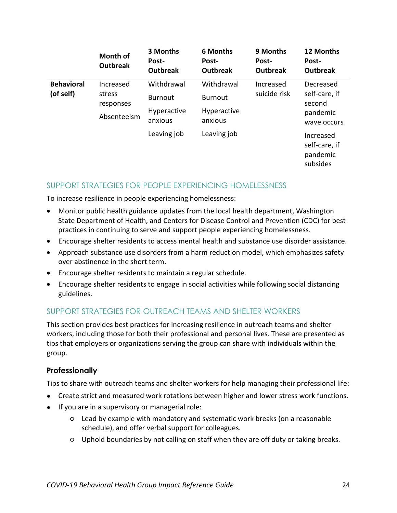|                                | <b>Month of</b><br><b>Outbreak</b> | 3 Months<br>Post-<br><b>Outbreak</b> | <b>6 Months</b><br>Post-<br><b>Outbreak</b> | 9 Months<br>Post-<br><b>Outbreak</b> | 12 Months<br>Post-<br><b>Outbreak</b>                           |
|--------------------------------|------------------------------------|--------------------------------------|---------------------------------------------|--------------------------------------|-----------------------------------------------------------------|
| <b>Behavioral</b><br>(of self) | Increased<br>stress                | Withdrawal<br><b>Burnout</b>         | Withdrawal<br><b>Burnout</b>                | Increased<br>suicide risk            | Decreased<br>self-care, if<br>second<br>pandemic<br>wave occurs |
|                                | responses<br>Absenteeism           | Hyperactive<br>anxious               | Hyperactive<br>anxious                      |                                      |                                                                 |
|                                |                                    | Leaving job                          | Leaving job                                 |                                      | Increased<br>self-care, if<br>pandemic<br>subsides              |

## SUPPORT STRATEGIES FOR PEOPLE EXPERIENCING HOMELESSNESS

To increase resilience in people experiencing homelessness:

- Monitor public health guidance updates from the local health department, Washington State Department of Health, and Centers for Disease Control and Prevention (CDC) for best practices in continuing to serve and support people experiencing homelessness.
- Encourage shelter residents to access mental health and substance use disorder assistance.
- Approach substance use disorders from a harm reduction model, which emphasizes safety over abstinence in the short term.
- Encourage shelter residents to maintain a regular schedule.
- Encourage shelter residents to engage in social activities while following social distancing guidelines.

## SUPPORT STRATEGIES FOR OUTREACH TEAMS AND SHELTER WORKERS

This section provides best practices for increasing resilience in outreach teams and shelter workers, including those for both their professional and personal lives. These are presented as tips that employers or organizations serving the group can share with individuals within the group.

## **Professionally**

Tips to share with outreach teams and shelter workers for help managing their professional life:

- Create strict and measured work rotations between higher and lower stress work functions.
- If you are in a supervisory or managerial role:
	- Lead by example with mandatory and systematic work breaks (on a reasonable schedule), and offer verbal support for colleagues.
	- Uphold boundaries by not calling on staff when they are off duty or taking breaks.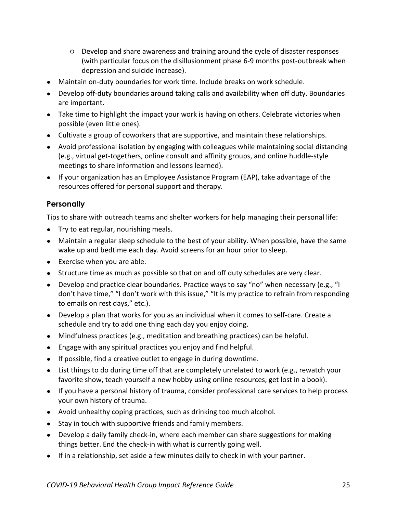- Develop and share awareness and training around the cycle of disaster responses (with particular focus on the disillusionment phase 6-9 months post-outbreak when depression and suicide increase).
- Maintain on-duty boundaries for work time. Include breaks on work schedule.
- Develop off-duty boundaries around taking calls and availability when off duty. Boundaries are important.
- Take time to highlight the impact your work is having on others. Celebrate victories when possible (even little ones).
- Cultivate a group of coworkers that are supportive, and maintain these relationships.
- Avoid professional isolation by engaging with colleagues while maintaining social distancing (e.g., virtual get-togethers, online consult and affinity groups, and online huddle-style meetings to share information and lessons learned).
- If your organization has an Employee Assistance Program (EAP), take advantage of the resources offered for personal support and therapy.

## **Personally**

Tips to share with outreach teams and shelter workers for help managing their personal life:

- Try to eat regular, nourishing meals.
- Maintain a regular sleep schedule to the best of your ability. When possible, have the same wake up and bedtime each day. Avoid screens for an hour prior to sleep.
- Exercise when you are able.
- Structure time as much as possible so that on and off duty schedules are very clear.
- Develop and practice clear boundaries. Practice ways to say "no" when necessary (e.g., "I don't have time," "I don't work with this issue," "It is my practice to refrain from responding to emails on rest days," etc.).
- Develop a plan that works for you as an individual when it comes to self-care. Create a schedule and try to add one thing each day you enjoy doing.
- Mindfulness practices (e.g., meditation and breathing practices) can be helpful.
- Engage with any spiritual practices you enjoy and find helpful.
- If possible, find a creative outlet to engage in during downtime.
- List things to do during time off that are completely unrelated to work (e.g., rewatch your favorite show, teach yourself a new hobby using online resources, get lost in a book).
- If you have a personal history of trauma, consider professional care services to help process your own history of trauma.
- Avoid unhealthy coping practices, such as drinking too much alcohol.
- Stay in touch with supportive friends and family members.
- Develop a daily family check-in, where each member can share suggestions for making things better. End the check-in with what is currently going well.
- If in a relationship, set aside a few minutes daily to check in with your partner.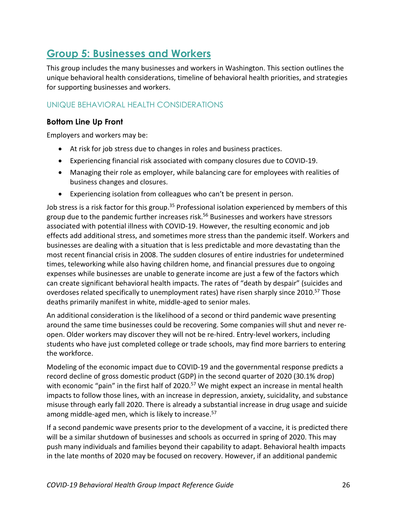## <span id="page-25-0"></span>**Group 5: Businesses and Workers**

This group includes the many businesses and workers in Washington. This section outlines the unique behavioral health considerations, timeline of behavioral health priorities, and strategies for supporting businesses and workers.

## UNIQUE BEHAVIORAL HEALTH CONSIDERATIONS

## **Bottom Line Up Front**

Employers and workers may be:

- At risk for job stress due to changes in roles and business practices.
- Experiencing financial risk associated with company closures due to COVID-19.
- Managing their role as employer, while balancing care for employees with realities of business changes and closures.
- Experiencing isolation from colleagues who can't be present in person.

Job stress is a risk factor for this group.<sup>[35](#page-6-0)</sup> Professional isolation experienced by members of this group due to the pandemic further increases risk. <sup>56</sup> Businesses and workers have stressors associated with potential illness with COVID-19. However, the resulting economic and job effects add additional stress, and sometimes more stress than the pandemic itself. Workers and businesses are dealing with a situation that is less predictable and more devastating than the most recent financial crisis in 2008. The sudden closures of entire industries for undetermined times, teleworking while also having children home, and financial pressures due to ongoing expenses while businesses are unable to generate income are just a few of the factors which can create significant behavioral health impacts. The rates of "death by despair" (suicides and overdoses related specifically to unemployment rates) have risen sharply since 2010.<sup>57</sup> Those deaths primarily manifest in white, middle-aged to senior males.

<span id="page-25-1"></span>An additional consideration is the likelihood of a second or third pandemic wave presenting around the same time businesses could be recovering. Some companies will shut and never reopen. Older workers may discover they will not be re-hired. Entry-level workers, including students who have just completed college or trade schools, may find more barriers to entering the workforce.

Modeling of the economic impact due to COVID-19 and the governmental response predicts a record decline of gross domestic product (GDP) in the second quarter of 2020 (30.1% drop) with economic "pain" in the first half of 2020.<sup>[57](#page-25-1)</sup> We might expect an increase in mental health impacts to follow those lines, with an increase in depression, anxiety, suicidality, and substance misuse through early fall 2020. There is already a substantial increase in drug usage and suicide among middle-aged men, which is likely to increase.<sup>57</sup>

If a second pandemic wave presents prior to the development of a vaccine, it is predicted there will be a similar shutdown of businesses and schools as occurred in spring of 2020. This may push many individuals and families beyond their capability to adapt. Behavioral health impacts in the late months of 2020 may be focused on recovery. However, if an additional pandemic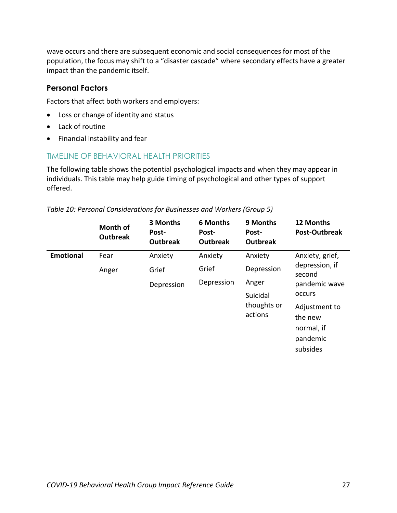wave occurs and there are subsequent economic and social consequences for most of the population, the focus may shift to a "disaster cascade" where secondary effects have a greater impact than the pandemic itself.

#### **Personal Factors**

Factors that affect both workers and employers:

- Loss or change of identity and status
- Lack of routine
- Financial instability and fear

## TIMELINE OF BEHAVIORAL HEALTH PRIORITIES

The following table shows the potential psychological impacts and when they may appear in individuals. This table may help guide timing of psychological and other types of support offered.

|                  | <b>Month of</b><br><b>Outbreak</b> | 3 Months<br>Post-<br><b>Outbreak</b> | <b>6 Months</b><br>Post-<br><b>Outbreak</b> | 9 Months<br>Post-<br><b>Outbreak</b> | 12 Months<br>Post-Outbreak |
|------------------|------------------------------------|--------------------------------------|---------------------------------------------|--------------------------------------|----------------------------|
| <b>Emotional</b> | Fear                               | Anxiety                              | Anxiety                                     | Anxiety                              | Anxiety, grief,            |
|                  | Anger                              | Grief                                | Grief                                       | Depression                           | depression, if<br>second   |
|                  |                                    | Depression                           | Depression                                  | Anger                                | pandemic wave              |
|                  |                                    |                                      |                                             | Suicidal                             | occurs                     |
|                  |                                    |                                      |                                             | thoughts or<br>actions               | Adjustment to              |
|                  |                                    |                                      |                                             |                                      | the new                    |
|                  |                                    |                                      |                                             |                                      | normal, if                 |
|                  |                                    |                                      |                                             |                                      | pandemic                   |
|                  |                                    |                                      |                                             |                                      | subsides                   |

#### *Table 10: Personal Considerations for Businesses and Workers (Group 5)*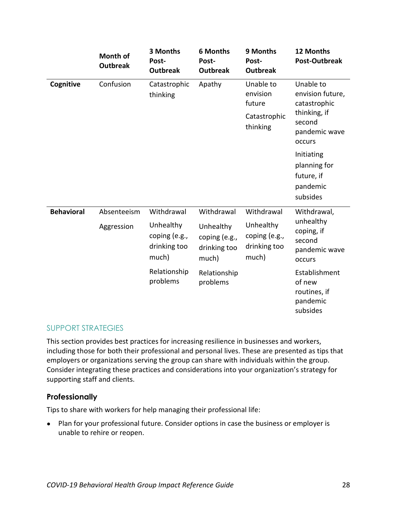|                   | <b>Month of</b><br><b>Outbreak</b> | 3 Months<br>Post-<br><b>Outbreak</b>                              | <b>6 Months</b><br>Post-<br><b>Outbreak</b>                       | 9 Months<br>Post-<br><b>Outbreak</b>                              | 12 Months<br>Post-Outbreak                                                                         |
|-------------------|------------------------------------|-------------------------------------------------------------------|-------------------------------------------------------------------|-------------------------------------------------------------------|----------------------------------------------------------------------------------------------------|
| Cognitive         | Confusion                          | Catastrophic<br>thinking                                          | Apathy                                                            | Unable to<br>envision<br>future<br>Catastrophic<br>thinking       | Unable to<br>envision future,<br>catastrophic<br>thinking, if<br>second<br>pandemic wave<br>occurs |
|                   |                                    |                                                                   |                                                                   |                                                                   | Initiating<br>planning for<br>future, if<br>pandemic<br>subsides                                   |
| <b>Behavioral</b> | Absenteeism<br>Aggression          | Withdrawal<br>Unhealthy<br>coping (e.g.,<br>drinking too<br>much) | Withdrawal<br>Unhealthy<br>coping (e.g.,<br>drinking too<br>much) | Withdrawal<br>Unhealthy<br>coping (e.g.,<br>drinking too<br>much) | Withdrawal,<br>unhealthy<br>coping, if<br>second<br>pandemic wave<br>occurs                        |
|                   |                                    | Relationship<br>problems                                          | Relationship<br>problems                                          |                                                                   | Establishment<br>of new<br>routines, if<br>pandemic<br>subsides                                    |

#### SUPPORT STRATEGIES

This section provides best practices for increasing resilience in businesses and workers, including those for both their professional and personal lives. These are presented as tips that employers or organizations serving the group can share with individuals within the group. Consider integrating these practices and considerations into your organization's strategy for supporting staff and clients.

## **Professionally**

Tips to share with workers for help managing their professional life:

● Plan for your professional future. Consider options in case the business or employer is unable to rehire or reopen.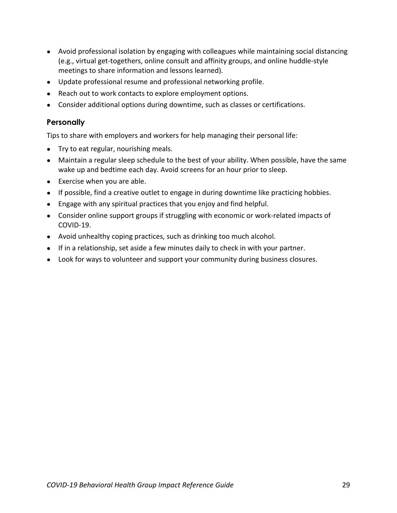- Avoid professional isolation by engaging with colleagues while maintaining social distancing (e.g., virtual get-togethers, online consult and affinity groups, and online huddle-style meetings to share information and lessons learned).
- Update professional resume and professional networking profile.
- Reach out to work contacts to explore employment options.
- Consider additional options during downtime, such as classes or certifications.

#### **Personally**

Tips to share with employers and workers for help managing their personal life:

- Try to eat regular, nourishing meals.
- Maintain a regular sleep schedule to the best of your ability. When possible, have the same wake up and bedtime each day. Avoid screens for an hour prior to sleep.
- Exercise when you are able.
- If possible, find a creative outlet to engage in during downtime like practicing hobbies.
- Engage with any spiritual practices that you enjoy and find helpful.
- Consider online support groups if struggling with economic or work-related impacts of COVID-19.
- Avoid unhealthy coping practices, such as drinking too much alcohol.
- If in a relationship, set aside a few minutes daily to check in with your partner.
- Look for ways to volunteer and support your community during business closures.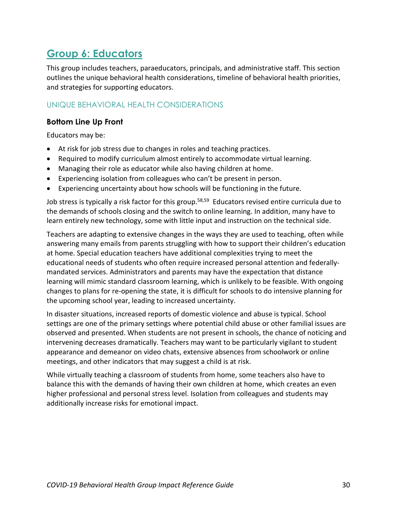## <span id="page-29-0"></span>**Group 6: Educators**

This group includes teachers, paraeducators, principals, and administrative staff. This section outlines the unique behavioral health considerations, timeline of behavioral health priorities, and strategies for supporting educators.

## UNIQUE BEHAVIORAL HEALTH CONSIDERATIONS

## **Bottom Line Up Front**

Educators may be:

- At risk for job stress due to changes in roles and teaching practices.
- Required to modify curriculum almost entirely to accommodate virtual learning.
- Managing their role as educator while also having children at home.
- Experiencing isolation from colleagues who can't be present in person.
- Experiencing uncertainty about how schools will be functioning in the future.

Job stress is typically a risk factor for this group.<sup>58,59</sup> Educators revised entire curricula due to the demands of schools closing and the switch to online learning. In addition, many have to learn entirely new technology, some with little input and instruction on the technical side.

Teachers are adapting to extensive changes in the ways they are used to teaching, often while answering many emails from parents struggling with how to support their children's education at home. Special education teachers have additional complexities trying to meet the educational needs of students who often require increased personal attention and federallymandated services. Administrators and parents may have the expectation that distance learning will mimic standard classroom learning, which is unlikely to be feasible. With ongoing changes to plans for re-opening the state, it is difficult for schools to do intensive planning for the upcoming school year, leading to increased uncertainty.

In disaster situations, increased reports of domestic violence and abuse is typical. School settings are one of the primary settings where potential child abuse or other familial issues are observed and presented. When students are not present in schools, the chance of noticing and intervening decreases dramatically. Teachers may want to be particularly vigilant to student appearance and demeanor on video chats, extensive absences from schoolwork or online meetings, and other indicators that may suggest a child is at risk.

While virtually teaching a classroom of students from home, some teachers also have to balance this with the demands of having their own children at home, which creates an even higher professional and personal stress level. Isolation from colleagues and students may additionally increase risks for emotional impact.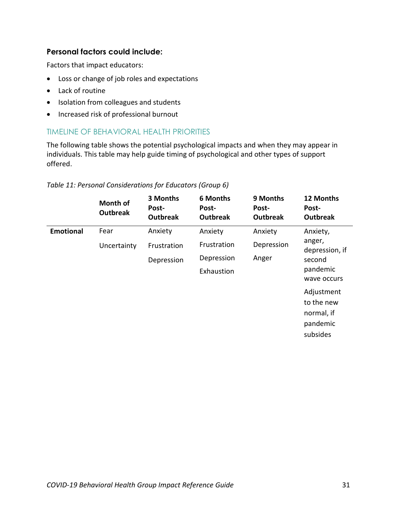## **Personal factors could include:**

Factors that impact educators:

- Loss or change of job roles and expectations
- Lack of routine
- Isolation from colleagues and students
- Increased risk of professional burnout

## TIMELINE OF BEHAVIORAL HEALTH PRIORITIES

The following table shows the potential psychological impacts and when they may appear in individuals. This table may help guide timing of psychological and other types of support offered.

|  | Table 11: Personal Considerations for Educators (Group 6) |  |  |
|--|-----------------------------------------------------------|--|--|
|  |                                                           |  |  |

|                  | Month of<br><b>Outbreak</b> | 3 Months<br>Post-<br><b>Outbreak</b> | <b>6 Months</b><br>Post-<br><b>Outbreak</b> | 9 Months<br>Post-<br><b>Outbreak</b> | 12 Months<br>Post-<br><b>Outbreak</b>                          |
|------------------|-----------------------------|--------------------------------------|---------------------------------------------|--------------------------------------|----------------------------------------------------------------|
| <b>Emotional</b> | Fear                        | Anxiety                              | Anxiety                                     | Anxiety                              | Anxiety,                                                       |
|                  | Uncertainty                 | Frustration                          | Frustration                                 | Depression                           | anger,<br>depression, if                                       |
|                  |                             | Depression                           | Depression                                  | Anger                                | second<br>pandemic<br>wave occurs                              |
|                  |                             |                                      | Exhaustion                                  |                                      |                                                                |
|                  |                             |                                      |                                             |                                      | Adjustment<br>to the new<br>normal, if<br>pandemic<br>subsides |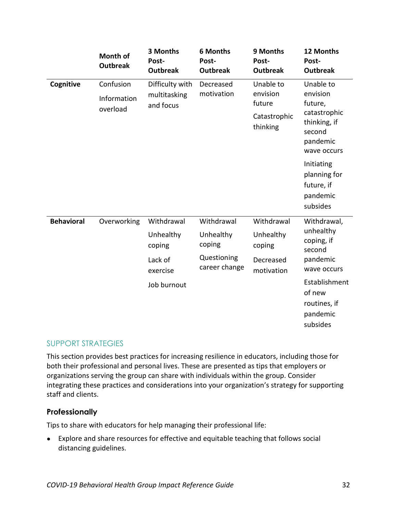|                   | <b>Month of</b><br><b>Outbreak</b>                   | 3 Months<br>Post-<br><b>Outbreak</b> | <b>6 Months</b><br>Post-<br><b>Outbreak</b> | 9 Months<br>Post-<br><b>Outbreak</b> | 12 Months<br>Post-<br><b>Outbreak</b>                            |
|-------------------|------------------------------------------------------|--------------------------------------|---------------------------------------------|--------------------------------------|------------------------------------------------------------------|
| Cognitive         | Confusion                                            | Difficulty with                      | Decreased                                   | Unable to                            | Unable to                                                        |
|                   | Information                                          | multitasking<br>and focus            | motivation                                  | envision<br>future                   | envision<br>future,                                              |
|                   | overload                                             |                                      |                                             | Catastrophic<br>thinking<br>second   | catastrophic<br>thinking, if<br>pandemic<br>wave occurs          |
|                   |                                                      |                                      |                                             |                                      | Initiating<br>planning for<br>future, if<br>pandemic<br>subsides |
| <b>Behavioral</b> | Overworking                                          | Withdrawal                           | Withdrawal                                  | Withdrawal                           | Withdrawal,                                                      |
|                   | Unhealthy<br>coping<br>coping<br>Lack of<br>exercise | Unhealthy                            | Unhealthy<br>coping                         | unhealthy<br>coping, if<br>second    |                                                                  |
|                   |                                                      |                                      | Questioning<br>career change                | Decreased<br>motivation              | pandemic<br>wave occurs                                          |
|                   |                                                      | Job burnout                          |                                             |                                      | Establishment<br>of new<br>routines, if<br>pandemic<br>subsides  |

## SUPPORT STRATEGIES

This section provides best practices for increasing resilience in educators, including those for both their professional and personal lives. These are presented as tips that employers or organizations serving the group can share with individuals within the group. Consider integrating these practices and considerations into your organization's strategy for supporting staff and clients.

#### **Professionally**

Tips to share with educators for help managing their professional life:

● Explore and share resources for effective and equitable teaching that follows social distancing guidelines.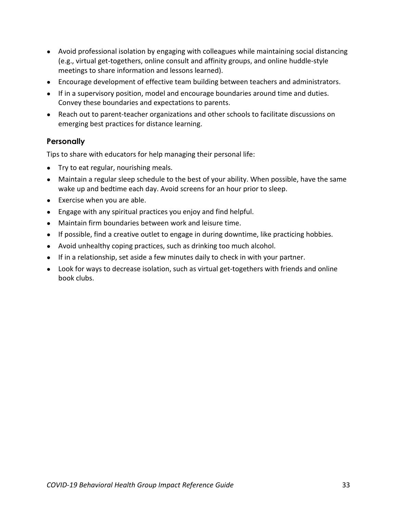- Avoid professional isolation by engaging with colleagues while maintaining social distancing (e.g., virtual get-togethers, online consult and affinity groups, and online huddle-style meetings to share information and lessons learned).
- Encourage development of effective team building between teachers and administrators.
- If in a supervisory position, model and encourage boundaries around time and duties. Convey these boundaries and expectations to parents.
- Reach out to parent-teacher organizations and other schools to facilitate discussions on emerging best practices for distance learning.

## **Personally**

Tips to share with educators for help managing their personal life:

- Try to eat regular, nourishing meals.
- Maintain a regular sleep schedule to the best of your ability. When possible, have the same wake up and bedtime each day. Avoid screens for an hour prior to sleep.
- Exercise when you are able.
- Engage with any spiritual practices you enjoy and find helpful.
- Maintain firm boundaries between work and leisure time.
- If possible, find a creative outlet to engage in during downtime, like practicing hobbies.
- Avoid unhealthy coping practices, such as drinking too much alcohol.
- If in a relationship, set aside a few minutes daily to check in with your partner.
- Look for ways to decrease isolation, such as virtual get-togethers with friends and online book clubs.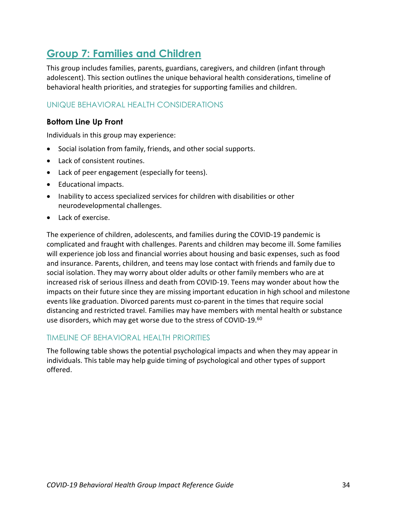## <span id="page-33-0"></span>**Group 7: Families and Children**

This group includes families, parents, guardians, caregivers, and children (infant through adolescent). This section outlines the unique behavioral health considerations, timeline of behavioral health priorities, and strategies for supporting families and children.

## UNIQUE BEHAVIORAL HEALTH CONSIDERATIONS

## **Bottom Line Up Front**

Individuals in this group may experience:

- Social isolation from family, friends, and other social supports.
- Lack of consistent routines.
- Lack of peer engagement (especially for teens).
- Educational impacts.
- Inability to access specialized services for children with disabilities or other neurodevelopmental challenges.
- Lack of exercise.

The experience of children, adolescents, and families during the COVID-19 pandemic is complicated and fraught with challenges. Parents and children may become ill. Some families will experience job loss and financial worries about housing and basic expenses, such as food and insurance. Parents, children, and teens may lose contact with friends and family due to social isolation. They may worry about older adults or other family members who are at increased risk of serious illness and death from COVID-19. Teens may wonder about how the impacts on their future since they are missing important education in high school and milestone events like graduation. Divorced parents must co-parent in the times that require social distancing and restricted travel. Families may have members with mental health or substance use disorders, which may get worse due to the stress of COVID-19.<sup>60</sup>

## TIMELINE OF BEHAVIORAL HEALTH PRIORITIES

The following table shows the potential psychological impacts and when they may appear in individuals. This table may help guide timing of psychological and other types of support offered.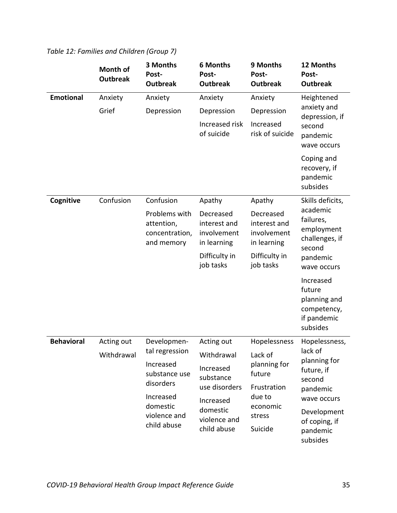|                   | Month of<br><b>Outbreak</b> | 3 Months<br>Post-<br><b>Outbreak</b>                        | <b>6 Months</b><br>Post-<br><b>Outbreak</b>             | 9 Months<br>Post-<br><b>Outbreak</b>                    | 12 Months<br>Post-<br><b>Outbreak</b>                                         |
|-------------------|-----------------------------|-------------------------------------------------------------|---------------------------------------------------------|---------------------------------------------------------|-------------------------------------------------------------------------------|
| <b>Emotional</b>  | Anxiety                     | Anxiety                                                     | Anxiety                                                 | Anxiety                                                 | Heightened                                                                    |
|                   | Grief                       | Depression                                                  | Depression                                              | Depression                                              | anxiety and<br>depression, if                                                 |
|                   |                             |                                                             | Increased risk<br>of suicide                            | Increased<br>risk of suicide                            | second<br>pandemic<br>wave occurs                                             |
|                   |                             |                                                             |                                                         |                                                         | Coping and<br>recovery, if<br>pandemic<br>subsides                            |
| Cognitive         | Confusion                   | Confusion                                                   | Apathy                                                  | Apathy                                                  | Skills deficits,                                                              |
|                   |                             | Problems with<br>attention,<br>concentration,<br>and memory | Decreased<br>interest and<br>involvement<br>in learning | Decreased<br>interest and<br>involvement<br>in learning | academic<br>failures,<br>employment<br>challenges, if<br>second               |
|                   |                             | Difficulty in<br>job tasks                                  | Difficulty in<br>job tasks                              | pandemic<br>wave occurs                                 |                                                                               |
|                   |                             |                                                             |                                                         |                                                         | Increased<br>future<br>planning and<br>competency,<br>if pandemic<br>subsides |
| <b>Behavioral</b> | Acting out                  | Developmen-                                                 | Acting out                                              | Hopelessness                                            | Hopelessness,                                                                 |
|                   | Withdrawal                  | tal regression                                              | Withdrawal                                              | Lack of                                                 | lack of<br>planning for                                                       |
|                   | Increased<br>substance use  | disorders                                                   | Increased<br>substance                                  | planning for<br>future                                  | future, if<br>second                                                          |
|                   |                             | Increased                                                   | use disorders                                           | Frustration<br>due to                                   | pandemic<br>wave occurs                                                       |
|                   |                             | domestic<br>violence and<br>child abuse                     | Increased<br>domestic<br>violence and<br>child abuse    | economic<br>stress<br>Suicide                           | Development<br>of coping, if<br>pandemic<br>subsides                          |

*Table 12: Families and Children (Group 7)*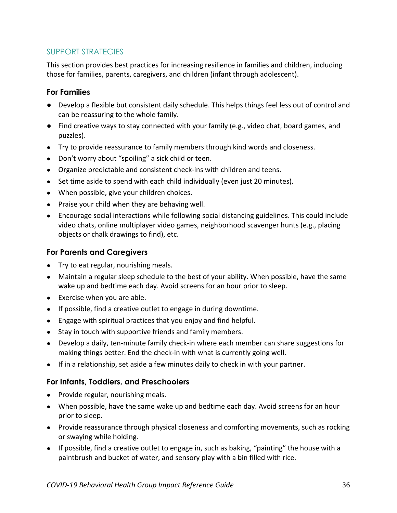## SUPPORT STRATEGIES

This section provides best practices for increasing resilience in families and children, including those for families, parents, caregivers, and children (infant through adolescent).

## **For Families**

- Develop a flexible but consistent daily schedule. This helps things feel less out of control and can be reassuring to the whole family.
- Find creative ways to stay connected with your family (e.g., video chat, board games, and puzzles).
- Try to provide reassurance to family members through kind words and closeness.
- Don't worry about "spoiling" a sick child or teen.
- Organize predictable and consistent check-ins with children and teens.
- Set time aside to spend with each child individually (even just 20 minutes).
- When possible, give your children choices.
- Praise your child when they are behaving well.
- Encourage social interactions while following social distancing guidelines. This could include video chats, online multiplayer video games, neighborhood scavenger hunts (e.g., placing objects or chalk drawings to find), etc.

## **For Parents and Caregivers**

- Try to eat regular, nourishing meals.
- Maintain a regular sleep schedule to the best of your ability. When possible, have the same wake up and bedtime each day. Avoid screens for an hour prior to sleep.
- Exercise when you are able.
- If possible, find a creative outlet to engage in during downtime.
- Engage with spiritual practices that you enjoy and find helpful.
- Stay in touch with supportive friends and family members.
- Develop a daily, ten-minute family check-in where each member can share suggestions for making things better. End the check-in with what is currently going well.
- If in a relationship, set aside a few minutes daily to check in with your partner.

## **For Infants, Toddlers, and Preschoolers**

- Provide regular, nourishing meals.
- When possible, have the same wake up and bedtime each day. Avoid screens for an hour prior to sleep.
- Provide reassurance through physical closeness and comforting movements, such as rocking or swaying while holding.
- If possible, find a creative outlet to engage in, such as baking, "painting" the house with a paintbrush and bucket of water, and sensory play with a bin filled with rice.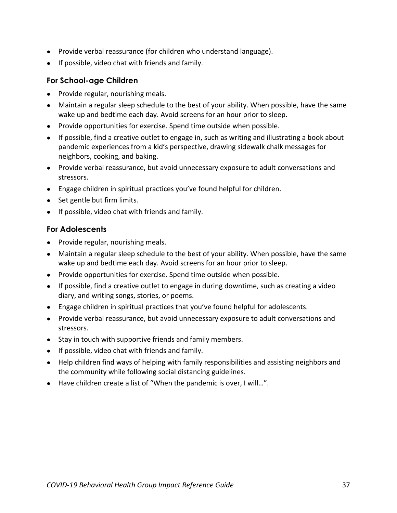- Provide verbal reassurance (for children who understand language).
- If possible, video chat with friends and family.

## **For School-age Children**

- Provide regular, nourishing meals.
- Maintain a regular sleep schedule to the best of your ability. When possible, have the same wake up and bedtime each day. Avoid screens for an hour prior to sleep.
- Provide opportunities for exercise. Spend time outside when possible.
- If possible, find a creative outlet to engage in, such as writing and illustrating a book about pandemic experiences from a kid's perspective, drawing sidewalk chalk messages for neighbors, cooking, and baking.
- Provide verbal reassurance, but avoid unnecessary exposure to adult conversations and stressors.
- Engage children in spiritual practices you've found helpful for children.
- Set gentle but firm limits.
- If possible, video chat with friends and family.

## **For Adolescents**

- Provide regular, nourishing meals.
- Maintain a regular sleep schedule to the best of your ability. When possible, have the same wake up and bedtime each day. Avoid screens for an hour prior to sleep.
- Provide opportunities for exercise. Spend time outside when possible.
- If possible, find a creative outlet to engage in during downtime, such as creating a video diary, and writing songs, stories, or poems.
- Engage children in spiritual practices that you've found helpful for adolescents.
- Provide verbal reassurance, but avoid unnecessary exposure to adult conversations and stressors.
- Stay in touch with supportive friends and family members.
- If possible, video chat with friends and family.
- Help children find ways of helping with family responsibilities and assisting neighbors and the community while following social distancing guidelines.
- Have children create a list of "When the pandemic is over, I will...".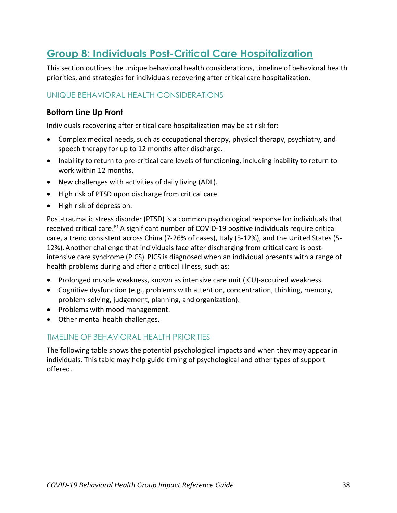## <span id="page-37-0"></span>**Group 8: Individuals Post-Critical Care Hospitalization**

This section outlines the unique behavioral health considerations, timeline of behavioral health priorities, and strategies for individuals recovering after critical care hospitalization.

## UNIQUE BEHAVIORAL HEALTH CONSIDERATIONS

#### **Bottom Line Up Front**

Individuals recovering after critical care hospitalization may be at risk for:

- Complex medical needs, such as occupational therapy, physical therapy, psychiatry, and speech therapy for up to 12 months after discharge.
- Inability to return to pre-critical care levels of functioning, including inability to return to work within 12 months.
- New challenges with activities of daily living (ADL).
- High risk of PTSD upon discharge from critical care.
- High risk of depression.

Post-traumatic stress disorder (PTSD) is a common psychological response for individuals that received critical care.<sup>61</sup> A significant number of COVID-19 positive individuals require critical care, a trend consistent across China (7-26% of cases), Italy (5-12%), and the United States (5- 12%). Another challenge that individuals face after discharging from critical care is postintensive care syndrome (PICS). PICS is diagnosed when an individual presents with a range of health problems during and after a critical illness, such as:

- Prolonged muscle weakness, known as intensive care unit (ICU)-acquired weakness.
- Cognitive dysfunction (e.g., problems with attention, concentration, thinking, memory, problem-solving, judgement, planning, and organization).
- Problems with mood management.
- Other mental health challenges.

#### TIMELINE OF BEHAVIORAL HEALTH PRIORITIES

The following table shows the potential psychological impacts and when they may appear in individuals. This table may help guide timing of psychological and other types of support offered.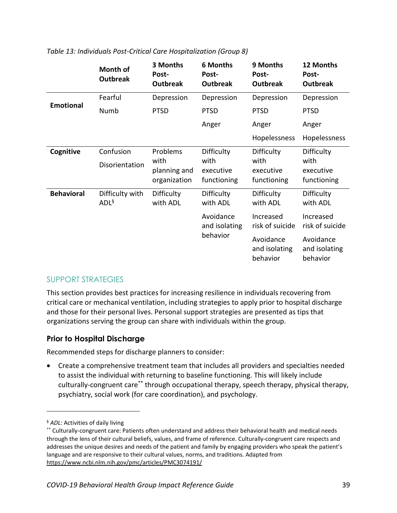|                   | Month of<br><b>Outbreak</b> | 3 Months<br>Post-<br><b>Outbreak</b> | <b>6 Months</b><br>Post-<br><b>Outbreak</b> | 9 Months<br>Post-<br><b>Outbreak</b>   | 12 Months<br>Post-<br><b>Outbreak</b>  |
|-------------------|-----------------------------|--------------------------------------|---------------------------------------------|----------------------------------------|----------------------------------------|
| <b>Emotional</b>  | Fearful                     | Depression                           | Depression                                  | Depression                             | Depression                             |
|                   | Numb                        | <b>PTSD</b>                          | <b>PTSD</b>                                 | <b>PTSD</b>                            | <b>PTSD</b>                            |
|                   |                             |                                      | Anger                                       | Anger                                  | Anger                                  |
|                   |                             |                                      |                                             | Hopelessness                           | Hopelessness                           |
| Cognitive         | Confusion                   | Problems                             | Difficulty                                  | Difficulty                             | Difficulty                             |
|                   | Disorientation              | with<br>planning and<br>organization | with<br>executive<br>functioning            | with<br>executive<br>functioning       | with<br>executive<br>functioning       |
| <b>Behavioral</b> | Difficulty with<br>$ADL^6$  | Difficulty<br>with ADL               | Difficulty<br>with ADL                      | Difficulty<br>with ADL                 | Difficulty<br>with ADL                 |
|                   |                             |                                      | Avoidance<br>and isolating                  | Increased<br>risk of suicide           | Increased<br>risk of suicide           |
|                   |                             |                                      | behavior                                    | Avoidance<br>and isolating<br>behavior | Avoidance<br>and isolating<br>behavior |

*Table 13: Individuals Post-Critical Care Hospitalization (Group 8)*

## SUPPORT STRATEGIES

This section provides best practices for increasing resilience in individuals recovering from critical care or mechanical ventilation, including strategies to apply prior to hospital discharge and those for their personal lives. Personal support strategies are presented as tips that organizations serving the group can share with individuals within the group.

## **Prior to Hospital Discharge**

Recommended steps for discharge planners to consider:

• Create a comprehensive treatment team that includes all providers and specialties needed to assist the individual with returning to baseline functioning. This will likely include culturally-congruent care\*\* through occupational therapy, speech therapy, physical therapy, psychiatry, social work (for care coordination), and psychology.

 $\overline{a}$ 

<sup>§</sup> *ADL*: Activities of daily living

<sup>\*\*</sup> Culturally-congruent care: Patients often understand and address their behavioral health and medical needs through the lens of their cultural beliefs, values, and frame of reference. Culturally-congruent care respects and addresses the unique desires and needs of the patient and family by engaging providers who speak the patient's language and are responsive to their cultural values, norms, and traditions. Adapted from <https://www.ncbi.nlm.nih.gov/pmc/articles/PMC3074191/>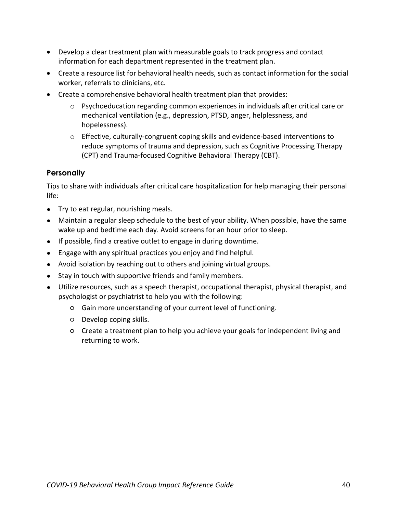- Develop a clear treatment plan with measurable goals to track progress and contact information for each department represented in the treatment plan.
- Create a resource list for behavioral health needs, such as contact information for the social worker, referrals to clinicians, etc.
- Create a comprehensive behavioral health treatment plan that provides:
	- $\circ$  Psychoeducation regarding common experiences in individuals after critical care or mechanical ventilation (e.g., depression, PTSD, anger, helplessness, and hopelessness).
	- $\circ$  Effective, culturally-congruent coping skills and evidence-based interventions to reduce symptoms of trauma and depression, such as Cognitive Processing Therapy (CPT) and Trauma-focused Cognitive Behavioral Therapy (CBT).

## **Personally**

Tips to share with individuals after critical care hospitalization for help managing their personal life:

- Try to eat regular, nourishing meals.
- Maintain a regular sleep schedule to the best of your ability. When possible, have the same wake up and bedtime each day. Avoid screens for an hour prior to sleep.
- If possible, find a creative outlet to engage in during downtime.
- Engage with any spiritual practices you enjoy and find helpful.
- Avoid isolation by reaching out to others and joining virtual groups.
- Stay in touch with supportive friends and family members.
- Utilize resources, such as a speech therapist, occupational therapist, physical therapist, and psychologist or psychiatrist to help you with the following:
	- Gain more understanding of your current level of functioning.
	- Develop coping skills.
	- Create a treatment plan to help you achieve your goals for independent living and returning to work.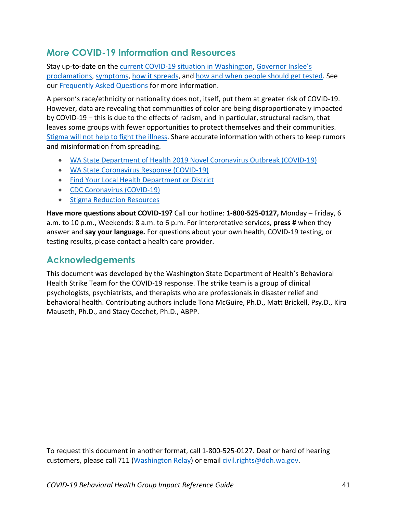## <span id="page-40-0"></span>**More COVID-19 Information and Resources**

Stay up-to-date on the [current COVID-19 situation in Washington,](https://www.doh.wa.gov/Emergencies/Coronavirus) [Governor Inslee's](https://www.governor.wa.gov/office-governor/official-actions/proclamations)  [proclamations,](https://www.governor.wa.gov/office-governor/official-actions/proclamations) [symptoms,](https://www.doh.wa.gov/Emergencies/NovelCoronavirusOutbreak2020/FrequentlyAskedQuestions#what-are-symptoms) [how it spreads,](https://www.doh.wa.gov/Emergencies/NovelCoronavirusOutbreak2020/FrequentlyAskedQuestions#spread) and [how and when people should get](https://www.doh.wa.gov/Emergencies/NovelCoronavirusOutbreak2020/TestingforCOVID19) tested. See our [Frequently Asked Questions](https://www.doh.wa.gov/Emergencies/NovelCoronavirusOutbreak2020/FrequentlyAskedQuestions) for more information.

A person's race/ethnicity or nationality does not, itself, put them at greater risk of COVID-19. However, data are revealing that communities of color are being disproportionately impacted by COVID-19 – this is due to the effects of racism, and in particular, structural racism, that leaves some groups with fewer opportunities to protect themselves and their communities. [Stigma will not help to fight the illness.](https://medium.com/wadepthealth/it-takes-all-of-us-to-reduce-stigma-during-disease-outbreaks-310db60dce29) Share accurate information with others to keep rumors and misinformation from spreading.

- WA State Department of [Health 2019 Novel Coronavirus Outbreak \(COVID-19\)](https://www.doh.wa.gov/emergencies/coronavirus)
- [WA State Coronavirus Response \(COVID-19\)](https://coronavirus.wa.gov/)
- Find Your [Local Health Department or District](https://www.doh.wa.gov/AboutUs/PublicHealthSystem/LocalHealthJurisdictions)
- [CDC Coronavirus \(COVID-19\)](https://www.cdc.gov/coronavirus/2019-ncov/index.html)
- [Stigma Reduction](https://www.doh.wa.gov/Emergencies/NovelCoronavirusOutbreak2020/StigmaReduction) Resources

**Have more questions about COVID-19?** Call our hotline: **1-800-525-0127,** Monday – Friday, 6 a.m. to 10 p.m., Weekends: 8 a.m. to 6 p.m. For interpretative services, **press #** when they answer and **say your language.** For questions about your own health, COVID-19 testing, or testing results, please contact a health care provider.

## <span id="page-40-1"></span>**Acknowledgements**

This document was developed by the Washington State Department of Health's Behavioral Health Strike Team for the COVID-19 response. The strike team is a group of clinical psychologists, psychiatrists, and therapists who are professionals in disaster relief and behavioral health. Contributing authors include Tona McGuire, Ph.D., Matt Brickell, Psy.D., Kira Mauseth, Ph.D., and Stacy Cecchet, Ph.D., ABPP.

To request this document in another format, call 1-800-525-0127. Deaf or hard of hearing customers, please call 711 [\(Washington Relay\)](https://www.dshs.wa.gov/altsa/odhh/telecommunication-relay-services) or email [civil.rights@doh.wa.gov.](mailto:civil.rights@doh.wa.gov)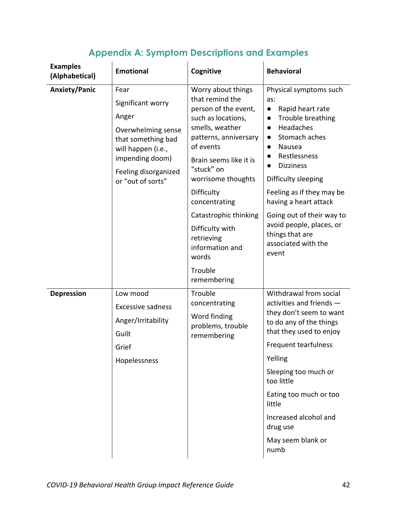<span id="page-41-0"></span>

| <b>Examples</b><br>(Alphabetical) | <b>Emotional</b>                                                                                                                                                     | Cognitive                                                                                                                                                                                                                                                          | <b>Behavioral</b>                                                                                                                                                                                                                                                                                                                                       |
|-----------------------------------|----------------------------------------------------------------------------------------------------------------------------------------------------------------------|--------------------------------------------------------------------------------------------------------------------------------------------------------------------------------------------------------------------------------------------------------------------|---------------------------------------------------------------------------------------------------------------------------------------------------------------------------------------------------------------------------------------------------------------------------------------------------------------------------------------------------------|
| <b>Anxiety/Panic</b>              | Fear<br>Significant worry<br>Anger<br>Overwhelming sense<br>that something bad<br>will happen (i.e.,<br>impending doom)<br>Feeling disorganized<br>or "out of sorts" | Worry about things<br>that remind the<br>person of the event,<br>such as locations,<br>smells, weather<br>patterns, anniversary<br>of events<br>Brain seems like it is<br>"stuck" on<br>worrisome thoughts<br>Difficulty<br>concentrating<br>Catastrophic thinking | Physical symptoms such<br>as:<br>Rapid heart rate<br>$\bullet$<br>Trouble breathing<br>$\bullet$<br>Headaches<br>$\bullet$<br>Stomach aches<br>$\bullet$<br>Nausea<br>$\bullet$<br>Restlessness<br>$\bullet$<br><b>Dizziness</b><br>$\bullet$<br>Difficulty sleeping<br>Feeling as if they may be<br>having a heart attack<br>Going out of their way to |
|                                   |                                                                                                                                                                      | Difficulty with<br>retrieving<br>information and<br>words<br>Trouble<br>remembering                                                                                                                                                                                | avoid people, places, or<br>things that are<br>associated with the<br>event                                                                                                                                                                                                                                                                             |
| <b>Depression</b>                 | Low mood<br><b>Excessive sadness</b><br>Anger/Irritability<br>Guilt<br>Grief<br>Hopelessness                                                                         | Trouble<br>concentrating<br>Word finding<br>problems, trouble<br>remembering                                                                                                                                                                                       | Withdrawal from social<br>activities and friends -<br>they don't seem to want<br>to do any of the things<br>that they used to enjoy<br>Frequent tearfulness<br>Yelling<br>Sleeping too much or<br>too little<br>Eating too much or too<br>little<br>Increased alcohol and<br>drug use<br>May seem blank or<br>numb                                      |

## **Appendix A: Symptom Descriptions and Examples**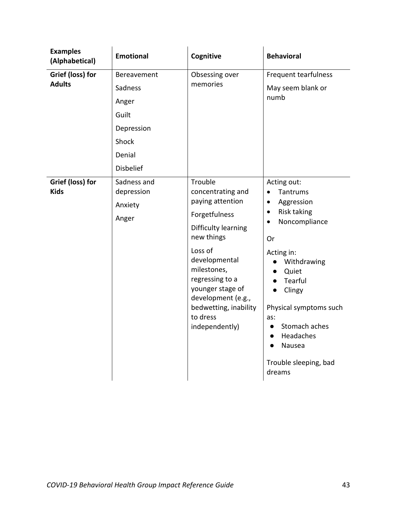| <b>Examples</b><br>(Alphabetical) | <b>Emotional</b>                                                          | Cognitive                                                                                                                                                                                                                                                             | <b>Behavioral</b>                                                                                                                                                                                                                                                                                                                                                                           |
|-----------------------------------|---------------------------------------------------------------------------|-----------------------------------------------------------------------------------------------------------------------------------------------------------------------------------------------------------------------------------------------------------------------|---------------------------------------------------------------------------------------------------------------------------------------------------------------------------------------------------------------------------------------------------------------------------------------------------------------------------------------------------------------------------------------------|
| Grief (loss) for<br><b>Adults</b> | Bereavement<br>Sadness<br>Anger<br>Guilt<br>Depression<br>Shock<br>Denial | Obsessing over<br>memories                                                                                                                                                                                                                                            | Frequent tearfulness<br>May seem blank or<br>numb                                                                                                                                                                                                                                                                                                                                           |
| Grief (loss) for<br><b>Kids</b>   | <b>Disbelief</b><br>Sadness and<br>depression<br>Anxiety<br>Anger         | Trouble<br>concentrating and<br>paying attention<br>Forgetfulness<br>Difficulty learning<br>new things<br>Loss of<br>developmental<br>milestones,<br>regressing to a<br>younger stage of<br>development (e.g.,<br>bedwetting, inability<br>to dress<br>independently) | Acting out:<br>Tantrums<br>$\bullet$<br>Aggression<br>$\bullet$<br><b>Risk taking</b><br>$\bullet$<br>Noncompliance<br>$\bullet$<br>Or<br>Acting in:<br>Withdrawing<br>$\bullet$<br>Quiet<br>$\bullet$<br>Tearful<br>$\bullet$<br>Clingy<br>$\bullet$<br>Physical symptoms such<br>as:<br>Stomach aches<br>$\bullet$<br>Headaches<br>$\bullet$<br>Nausea<br>Trouble sleeping, bad<br>dreams |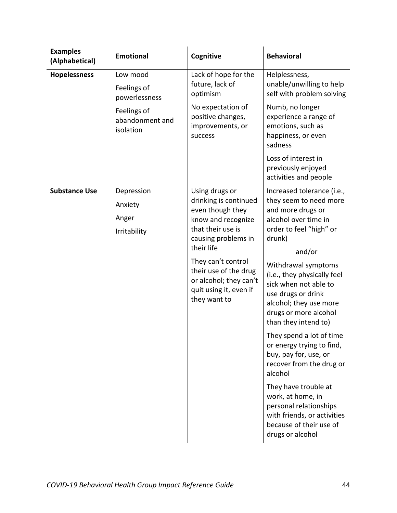| <b>Examples</b><br>(Alphabetical) | <b>Emotional</b>                                                                        | Cognitive                                                                                                                                                                                                                                                      | <b>Behavioral</b>                                                                                                                                                                                                                                                                                                                                                                                                                                                                                                                                                                                              |
|-----------------------------------|-----------------------------------------------------------------------------------------|----------------------------------------------------------------------------------------------------------------------------------------------------------------------------------------------------------------------------------------------------------------|----------------------------------------------------------------------------------------------------------------------------------------------------------------------------------------------------------------------------------------------------------------------------------------------------------------------------------------------------------------------------------------------------------------------------------------------------------------------------------------------------------------------------------------------------------------------------------------------------------------|
| <b>Hopelessness</b>               | Low mood<br>Feelings of<br>powerlessness<br>Feelings of<br>abandonment and<br>isolation | Lack of hope for the<br>future, lack of<br>optimism<br>No expectation of<br>positive changes,<br>improvements, or<br>success                                                                                                                                   | Helplessness,<br>unable/unwilling to help<br>self with problem solving<br>Numb, no longer<br>experience a range of<br>emotions, such as<br>happiness, or even<br>sadness<br>Loss of interest in<br>previously enjoyed<br>activities and people                                                                                                                                                                                                                                                                                                                                                                 |
| <b>Substance Use</b>              | Depression<br>Anxiety<br>Anger<br>Irritability                                          | Using drugs or<br>drinking is continued<br>even though they<br>know and recognize<br>that their use is<br>causing problems in<br>their life<br>They can't control<br>their use of the drug<br>or alcohol; they can't<br>quit using it, even if<br>they want to | Increased tolerance (i.e.,<br>they seem to need more<br>and more drugs or<br>alcohol over time in<br>order to feel "high" or<br>drunk)<br>and/or<br>Withdrawal symptoms<br>(i.e., they physically feel<br>sick when not able to<br>use drugs or drink<br>alcohol; they use more<br>drugs or more alcohol<br>than they intend to)<br>They spend a lot of time<br>or energy trying to find,<br>buy, pay for, use, or<br>recover from the drug or<br>alcohol<br>They have trouble at<br>work, at home, in<br>personal relationships<br>with friends, or activities<br>because of their use of<br>drugs or alcohol |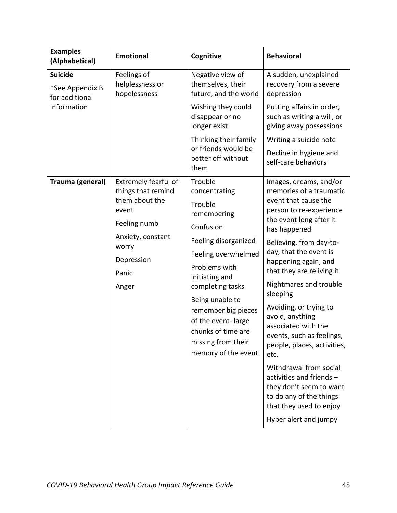| <b>Examples</b><br>(Alphabetical)                | <b>Emotional</b>                                                      | Cognitive                                                                                                                       | <b>Behavioral</b>                                                                                                                                                                                                                                                                               |
|--------------------------------------------------|-----------------------------------------------------------------------|---------------------------------------------------------------------------------------------------------------------------------|-------------------------------------------------------------------------------------------------------------------------------------------------------------------------------------------------------------------------------------------------------------------------------------------------|
| <b>Suicide</b>                                   | Feelings of<br>helplessness or<br>hopelessness                        | Negative view of                                                                                                                | A sudden, unexplained<br>recovery from a severe<br>depression                                                                                                                                                                                                                                   |
| *See Appendix B<br>for additional<br>information |                                                                       | themselves, their<br>future, and the world                                                                                      |                                                                                                                                                                                                                                                                                                 |
|                                                  |                                                                       | Wishing they could<br>disappear or no<br>longer exist                                                                           | Putting affairs in order,<br>such as writing a will, or<br>giving away possessions                                                                                                                                                                                                              |
|                                                  |                                                                       | Thinking their family                                                                                                           | Writing a suicide note                                                                                                                                                                                                                                                                          |
|                                                  |                                                                       | or friends would be<br>better off without<br>them                                                                               | Decline in hygiene and<br>self-care behaviors                                                                                                                                                                                                                                                   |
| Trauma (general)                                 | Extremely fearful of<br>things that remind<br>them about the<br>event | Trouble                                                                                                                         | Images, dreams, and/or<br>memories of a traumatic<br>event that cause the<br>person to re-experience<br>the event long after it<br>has happened<br>Believing, from day-to-<br>day, that the event is<br>happening again, and<br>that they are reliving it<br>Nightmares and trouble<br>sleeping |
|                                                  |                                                                       | concentrating                                                                                                                   |                                                                                                                                                                                                                                                                                                 |
|                                                  |                                                                       | Trouble<br>remembering                                                                                                          |                                                                                                                                                                                                                                                                                                 |
|                                                  | Feeling numb                                                          | Confusion                                                                                                                       |                                                                                                                                                                                                                                                                                                 |
|                                                  | Anxiety, constant<br>worry                                            | Feeling disorganized                                                                                                            |                                                                                                                                                                                                                                                                                                 |
|                                                  | Depression                                                            | Feeling overwhelmed<br>Problems with<br>initiating and                                                                          |                                                                                                                                                                                                                                                                                                 |
|                                                  | Panic                                                                 |                                                                                                                                 |                                                                                                                                                                                                                                                                                                 |
|                                                  | Anger                                                                 | completing tasks                                                                                                                |                                                                                                                                                                                                                                                                                                 |
|                                                  |                                                                       | Being unable to<br>remember big pieces<br>of the event-large<br>chunks of time are<br>missing from their<br>memory of the event | Avoiding, or trying to<br>avoid, anything<br>associated with the<br>events, such as feelings,<br>people, places, activities,<br>etc.                                                                                                                                                            |
|                                                  |                                                                       |                                                                                                                                 | Withdrawal from social<br>activities and friends -<br>they don't seem to want<br>to do any of the things<br>that they used to enjoy<br>Hyper alert and jumpy                                                                                                                                    |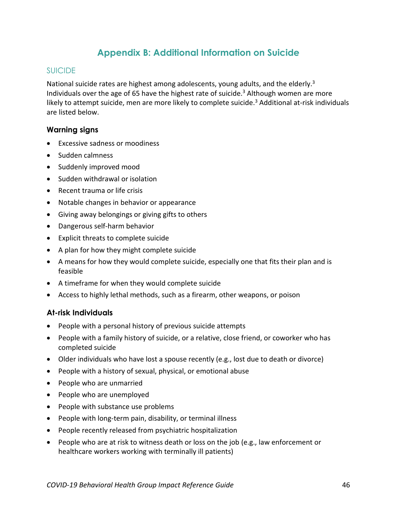## **Appendix B: Additional Information on Suicide**

#### <span id="page-45-0"></span>SUICIDE

National suicide rates are highest among adolescents, young adults, and the elderly[.](#page-2-3)<sup>3</sup> Individuals over the age of 65 have the highest rate of suicide. [3](#page-2-3) Although women are more likely to attempt suicide, men are more likely to complete suicide. [3](#page-2-3) Additional at-risk individuals are listed below.

#### **Warning signs**

- Excessive sadness or moodiness
- Sudden calmness
- Suddenly improved mood
- Sudden withdrawal or isolation
- Recent trauma or life crisis
- Notable changes in behavior or appearance
- Giving away belongings or giving gifts to others
- Dangerous self-harm behavior
- Explicit threats to complete suicide
- A plan for how they might complete suicide
- A means for how they would complete suicide, especially one that fits their plan and is feasible
- A timeframe for when they would complete suicide
- Access to highly lethal methods, such as a firearm, other weapons, or poison

#### **At-risk Individuals**

- People with a personal history of previous suicide attempts
- People with a family history of suicide, or a relative, close friend, or coworker who has completed suicide
- Older individuals who have lost a spouse recently (e.g., lost due to death or divorce)
- People with a history of sexual, physical, or emotional abuse
- People who are unmarried
- People who are unemployed
- People with substance use problems
- People with long-term pain, disability, or terminal illness
- People recently released from psychiatric hospitalization
- People who are at risk to witness death or loss on the job (e.g., law enforcement or healthcare workers working with terminally ill patients)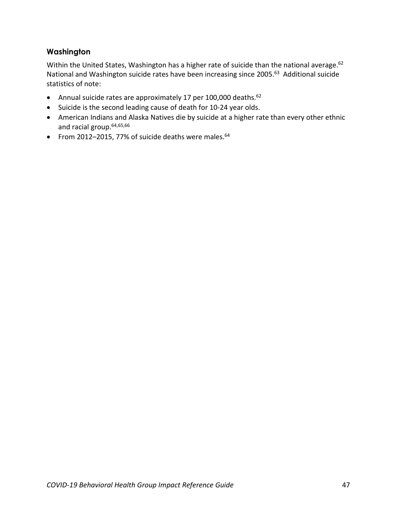## **Washington**

<span id="page-46-0"></span>Within the United States, Washington has a higher rate of suicide than the national average.<sup>62</sup> National and Washington suicide rates have been increasing since 2005.63 Additional suicide statistics of note:

- Annual suicide rates are approximately 17 per 100,000 deaths.<sup>62</sup>
- Suicide is the second leading cause of death for 10-24 year olds.
- <span id="page-46-1"></span>• American Indians and Alaska Natives die by suicide at a higher rate than every other ethnic and racial group. 64,65,66
- From 2012-2015, 77% of suicide deaths were males. 64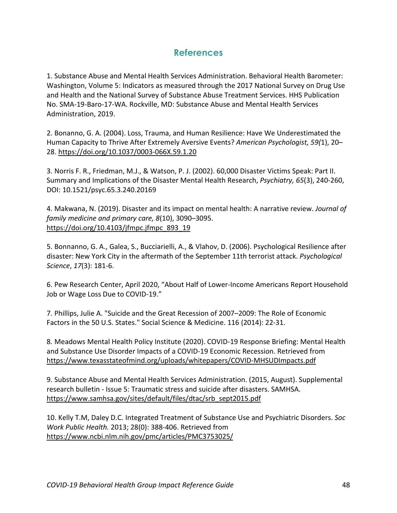## **References**

<span id="page-47-0"></span>1. Substance Abuse and Mental Health Services Administration. Behavioral Health Barometer: Washington, Volume 5: Indicators as measured through the 2017 National Survey on Drug Use and Health and the National Survey of Substance Abuse Treatment Services. HHS Publication No. SMA-19-Baro-17-WA. Rockville, MD: Substance Abuse and Mental Health Services Administration, 2019.

2. Bonanno, G. A. (2004). Loss, Trauma, and Human Resilience: Have We Underestimated the Human Capacity to Thrive After Extremely Aversive Events? *American Psychologist, 59(*1), 20– 28. [https://doi.org/10.1037/0003-066X.59.1.20](https://psycnet.apa.org/doi/10.1037/0003-066X.59.1.20)

3. Norris F. R., Friedman, M.J., & Watson, P. J. (2002). 60,000 Disaster Victims Speak: Part II. Summary and Implications of the Disaster Mental Health Research, *Psychiatry, 65*(3), 240-260, DOI: 10.1521/psyc.65.3.240.20169

4. Makwana, N. (2019). Disaster and its impact on mental health: A narrative review. *Journal of family medicine and primary care, 8*(10), 3090–3095. [https://doi.org/10.4103/jfmpc.jfmpc\\_893\\_19](https://doi.org/10.4103/jfmpc.jfmpc_893_19)

5. Bonnanno, G. A., Galea, S., Bucciarielli, A., & Vlahov, D. (2006). Psychological Resilience after disaster: New York City in the aftermath of the September 11th terrorist attack. *Psychological Science*, *17*(3): 181-6.

6. Pew Research Center, April 2020, "About Half of Lower-Income Americans Report Household Job or Wage Loss Due to COVID-19."

7. Phillips, Julie A. "Suicide and the Great Recession of 2007–2009: The Role of Economic Factors in the 50 U.S. States." Social Science & Medicine. 116 (2014): 22-31.

8. Meadows Mental Health Policy Institute (2020). COVID-19 Response Briefing: Mental Health and Substance Use Disorder Impacts of a COVID-19 Economic Recession. Retrieved from <https://www.texasstateofmind.org/uploads/whitepapers/COVID-MHSUDImpacts.pdf>

9. Substance Abuse and Mental Health Services Administration. (2015, August). Supplemental research bulletin - Issue 5: Traumatic stress and suicide after disasters. SAMHSA. [https://www.samhsa.gov/sites/default/files/dtac/srb\\_sept2015.pdf](https://www.samhsa.gov/sites/default/files/dtac/srb_sept2015.pdf)

10. Kelly T.M, Daley D.C. Integrated Treatment of Substance Use and Psychiatric Disorders. *Soc Work Public Health.* 2013; 28(0): 388-406. Retrieved from <https://www.ncbi.nlm.nih.gov/pmc/articles/PMC3753025/>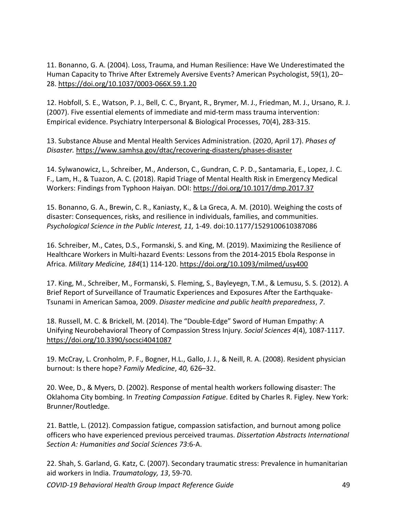11. Bonanno, G. A. (2004). Loss, Trauma, and Human Resilience: Have We Underestimated the Human Capacity to Thrive After Extremely Aversive Events? American Psychologist, 59(1), 20– 28. [https://doi.org/10.1037/0003-066X.59.1.20](https://psycnet.apa.org/doi/10.1037/0003-066X.59.1.20)

12. Hobfoll, S. E., Watson, P. J., Bell, C. C., Bryant, R., Brymer, M. J., Friedman, M. J., Ursano, R. J. (2007). Five essential elements of immediate and mid-term mass trauma intervention: Empirical evidence. Psychiatry Interpersonal & Biological Processes, 70(4), 283-315.

13. Substance Abuse and Mental Health Services Administration. (2020, April 17). *Phases of Disaster.* <https://www.samhsa.gov/dtac/recovering-disasters/phases-disaster>

14. Sylwanowicz, L., Schreiber, M., Anderson, C., Gundran, C. P. D., Santamaria, E., Lopez, J. C. F., Lam, H., & Tuazon, A. C. (2018). Rapid Triage of Mental Health Risk in Emergency Medical Workers: Findings from Typhoon Haiyan. DOI:<https://doi.org/10.1017/dmp.2017.37>

15. Bonanno, G. A., Brewin, C. R., Kaniasty, K., & La Greca, A. M. (2010). Weighing the costs of disaster: Consequences, risks, and resilience in individuals, families, and communities. *Psychological Science in the Public Interest, 11,* 1-49. doi:10.1177/1529100610387086

16. Schreiber, M., Cates, D.S., Formanski, S. and King, M. (2019). Maximizing the Resilience of Healthcare Workers in Multi-hazard Events: Lessons from the 2014-2015 Ebola Response in Africa. *Military Medicine, 184*(1) 114-120.<https://doi.org/10.1093/milmed/usy400>

17. King, M., Schreiber, M., Formanski, S. Fleming, S., Bayleyegn, T.M., & Lemusu, S. S. (2012). A Brief Report of Surveillance of Traumatic Experiences and Exposures After the Earthquake-Tsunami in American Samoa, 2009. *Disaster medicine and public health preparedness*, *7*.

18. Russell, M. C. & Brickell, M. (2014). The "Double-Edge" Sword of Human Empathy: A Unifying Neurobehavioral Theory of Compassion Stress Injury*. Social Sciences 4*(4), 1087-1117. <https://doi.org/10.3390/socsci4041087>

19. McCray, L. Cronholm, P. F., Bogner, H.L., Gallo, J. J., & Neill, R. A. (2008). Resident physician burnout: Is there hope? *Family Medicine*, *40,* 626–32.

20. Wee, D., & Myers, D. (2002). Response of mental health workers following disaster: The Oklahoma City bombing. In *Treating Compassion Fatigue*. Edited by Charles R. Figley. New York: Brunner/Routledge.

21. Battle, L. (2012). Compassion fatigue, compassion satisfaction, and burnout among police officers who have experienced previous perceived traumas. *Dissertation Abstracts International Section A: Humanities and Social Sciences 73*:6-A.

22. Shah, S. Garland, G. Katz, C. (2007). Secondary traumatic stress: Prevalence in humanitarian aid workers in India. *Traumatology, 13*, 59-70.

*COVID-19 Behavioral Health Group Impact Reference Guide* 49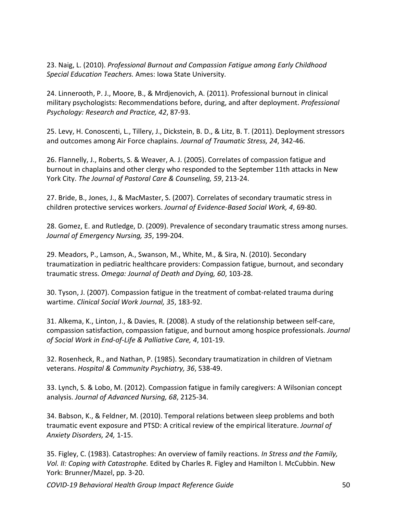23. Naig, L. (2010). *Professional Burnout and Compassion Fatigue among Early Childhood Special Education Teachers.* Ames: Iowa State University.

24. Linnerooth, P. J., Moore, B., & Mrdjenovich, A. (2011). Professional burnout in clinical military psychologists: Recommendations before, during, and after deployment. *Professional Psychology: Research and Practice, 42*, 87-93.

25. Levy, H. Conoscenti, L., Tillery, J., Dickstein, B. D., & Litz, B. T. (2011). Deployment stressors and outcomes among Air Force chaplains. *Journal of Traumatic Stress, 24*, 342-46.

26. Flannelly, J., Roberts, S. & Weaver, A. J. (2005). Correlates of compassion fatigue and burnout in chaplains and other clergy who responded to the September 11th attacks in New York City. *The Journal of Pastoral Care & Counseling, 59*, 213-24.

27. Bride, B., Jones, J., & MacMaster, S. (2007). Correlates of secondary traumatic stress in children protective services workers. *Journal of Evidence-Based Social Work, 4*, 69-80.

28. Gomez, E. and Rutledge, D. (2009). Prevalence of secondary traumatic stress among nurses. *Journal of Emergency Nursing, 35*, 199-204.

29. Meadors, P., Lamson, A., Swanson, M., White, M., & Sira, N. (2010). Secondary traumatization in pediatric healthcare providers: Compassion fatigue, burnout, and secondary traumatic stress. *Omega: Journal of Death and Dying, 60*, 103-28.

30. Tyson, J. (2007). Compassion fatigue in the treatment of combat-related trauma during wartime. *Clinical Social Work Journal, 35*, 183-92.

31. Alkema, K., Linton, J., & Davies, R. (2008). A study of the relationship between self-care, compassion satisfaction, compassion fatigue, and burnout among hospice professionals. *Journal of Social Work in End-of-Life & Palliative Care, 4*, 101-19.

32. Rosenheck, R., and Nathan, P. (1985). Secondary traumatization in children of Vietnam veterans. *Hospital & Community Psychiatry, 36*, 538-49.

33. Lynch, S. & Lobo, M. (2012). Compassion fatigue in family caregivers: A Wilsonian concept analysis. *Journal of Advanced Nursing, 68*, 2125-34.

34. Babson, K., & Feldner, M. (2010). Temporal relations between sleep problems and both traumatic event exposure and PTSD: A critical review of the empirical literature. *Journal of Anxiety Disorders, 24,* 1-15.

35. Figley, C. (1983). Catastrophes: An overview of family reactions. *In Stress and the Family, Vol. II: Coping with Catastrophe.* Edited by Charles R. Figley and Hamilton I. McCubbin. New York: Brunner/Mazel, pp. 3-20.

*COVID-19 Behavioral Health Group Impact Reference Guide* 50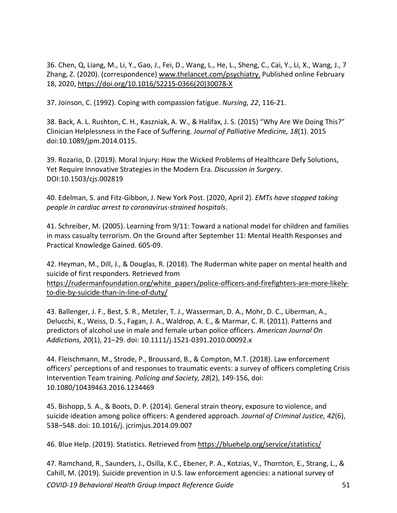36. Chen, Q, Liang, M., Li, Y., Gao, J., Fei, D., Wang, L., He, L., Sheng, C., Cai, Y., Li, X., Wang, J., 7 Zhang, Z. (2020). (correspondence) [www.thelancet.com/psychiatry.](http://www.thelancet.com/psychiatry) Published online February 18, 2020, [https://doi.org/10.1016/S2215-0366\(20\)30078-X](https://doi.org/10.1016/S2215-0366(20)30078-X)

37. Joinson, C. (1992). Coping with compassion fatigue. *Nursing, 22*, 116-21.

38. Back, A. L. Rushton, C. H., Kaszniak, A. W., & Halifax, J. S. (2015) "Why Are We Doing This?" Clinician Helplessness in the Face of Suffering. *Journal of Palliative Medicin*e*, 18*(1). 2015 doi:10.1089/jpm.2014.0115.

39. Rozario, D. (2019). Moral Injury: How the Wicked Problems of Healthcare Defy Solutions, Yet Require Innovative Strategies in the Modern Era. *Discussion in Surgery*. DOI:10.1503/cjs.002819

40. Edelman, S. and Fitz-Gibbon, J. New York Post. (2020, April 2). *EMTs have stopped taking people in cardiac arrest to coronavirus-strained hospitals*.

41. Schreiber, M. (2005). Learning from 9/11: Toward a national model for children and families in mass casualty terrorism. On the Ground after September 11: Mental Health Responses and Practical Knowledge Gained. 605-09.

42. Heyman, M., Dill, J., & Douglas, R. (2018). The Ruderman white paper on mental health and suicide of first responders. Retrieved from [https://rudermanfoundation.org/white\\_papers/police-officers-and-firefighters-are-more-likely](https://rudermanfoundation.org/white_papers/police-officers-and-firefighters-are-more-likely-to-die-by-suicide-than-in-line-of-duty/)[to-die-by-suicide-than-in-line-of-duty/](https://rudermanfoundation.org/white_papers/police-officers-and-firefighters-are-more-likely-to-die-by-suicide-than-in-line-of-duty/)

43. Ballenger, J. F., Best, S. R., Metzler, T. J., Wasserman, D. A., Mohr, D. C., Liberman, A., Delucchi, K., Weiss, D. S., Fagan, J. A., Waldrop, A. E., & Marmar, C. R. (2011). Patterns and predictors of alcohol use in male and female urban police officers. *American Journal On Addictions, 20*(1), 21–29. doi: 10.1111/j.1521-0391.2010.00092.x

44. Fleischmann, M., Strode, P., Broussard, B., & Compton, M.T. (2018). Law enforcement officers' perceptions of and responses to traumatic events: a survey of officers completing Crisis Intervention Team training. *Policing and Society, 28*(2), 149-156, doi: 10.1080/10439463.2016.1234469

45. Bishopp, S. A., & Boots, D. P. (2014). General strain theory, exposure to violence, and suicide ideation among police officers: A gendered approach. *Journal of Criminal Justice, 42*(6), 538–548. doi: 10.1016/j. jcrimjus.2014.09.007

46. Blue Help. (2019). Statistics. Retrieved from<https://bluehelp.org/service/statistics/>

*COVID-19 Behavioral Health Group Impact Reference Guide* 51 47. Ramchand, R., Saunders, J., Osilla, K.C., Ebener, P. A., Kotzias, V., Thornton, E., Strang, L., & Cahill, M. (2019). Suicide prevention in U.S. law enforcement agencies: a national survey of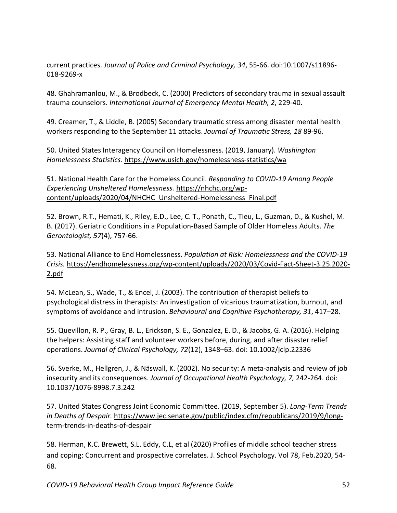current practices. *Journal of Police and Criminal Psychology, 34*, 55-66. doi:10.1007/s11896- 018-9269-x

48. Ghahramanlou, M., & Brodbeck, C. (2000) Predictors of secondary trauma in sexual assault trauma counselors. *International Journal of Emergency Mental Health, 2*, 229-40.

49. Creamer, T., & Liddle, B. (2005) Secondary traumatic stress among disaster mental health workers responding to the September 11 attacks. *Journal of Traumatic Stress, 18* 89-96.

50. United States Interagency Council on Homelessness. (2019, January). *Washington Homelessness Statistics.* <https://www.usich.gov/homelessness-statistics/wa>

51. National Health Care for the Homeless Council. *Responding to COVID-19 Among People Experiencing Unsheltered Homelessness.* [https://nhchc.org/wp](https://nhchc.org/wp-content/uploads/2020/04/NHCHC_Unsheltered-Homelessness_Final.pdf)[content/uploads/2020/04/NHCHC\\_Unsheltered-Homelessness\\_Final.pdf](https://nhchc.org/wp-content/uploads/2020/04/NHCHC_Unsheltered-Homelessness_Final.pdf)

52. Brown, R.T., Hemati, K., Riley, E.D., Lee, C. T., Ponath, C., Tieu, L., Guzman, D., & Kushel, M. B. (2017). Geriatric Conditions in a Population-Based Sample of Older Homeless Adults. *The Gerontologist, 57*(4), 757-66.

53. National Alliance to End Homelessness. *Population at Risk: Homelessness and the COVID-19 Crisis.* [https://endhomelessness.org/wp-content/uploads/2020/03/Covid-Fact-Sheet-3.25.2020-](https://endhomelessness.org/wp-content/uploads/2020/03/Covid-Fact-Sheet-3.25.2020-2.pdf) [2.pdf](https://endhomelessness.org/wp-content/uploads/2020/03/Covid-Fact-Sheet-3.25.2020-2.pdf)

54. McLean, S., Wade, T., & Encel, J. (2003). The contribution of therapist beliefs to psychological distress in therapists: An investigation of vicarious traumatization, burnout, and symptoms of avoidance and intrusion. *Behavioural and Cognitive Psychotherapy, 31*, 417–28.

55. Quevillon, R. P., Gray, B. L., Erickson, S. E., Gonzalez, E. D., & Jacobs, G. A. (2016). Helping the helpers: Assisting staff and volunteer workers before, during, and after disaster relief operations. *Journal of Clinical Psychology, 72*(12), 1348–63. doi: 10.1002/jclp.22336

56. Sverke, M., Hellgren, J., & Näswall, K. (2002). No security: A meta-analysis and review of job insecurity and its consequences. *Journal of Occupational Health Psychology, 7,* 242-264. doi: 10.1037/1076-8998.7.3.242

57. United States Congress Joint Economic Committee. (2019, September 5). *Long-Term Trends in Deaths of Despair.* [https://www.jec.senate.gov/public/index.cfm/republicans/2019/9/long](https://www.jec.senate.gov/public/index.cfm/republicans/2019/9/long-term-trends-in-deaths-of-despair)[term-trends-in-deaths-of-despair](https://www.jec.senate.gov/public/index.cfm/republicans/2019/9/long-term-trends-in-deaths-of-despair)

58. Herman, K.C. Brewett, S.L. Eddy, C.L, et al (2020) Profiles of middle school teacher stress and coping: Concurrent and prospective correlates. J. School Psychology. Vol 78, Feb.2020, 54- 68.

*COVID-19 Behavioral Health Group Impact Reference Guide* 52